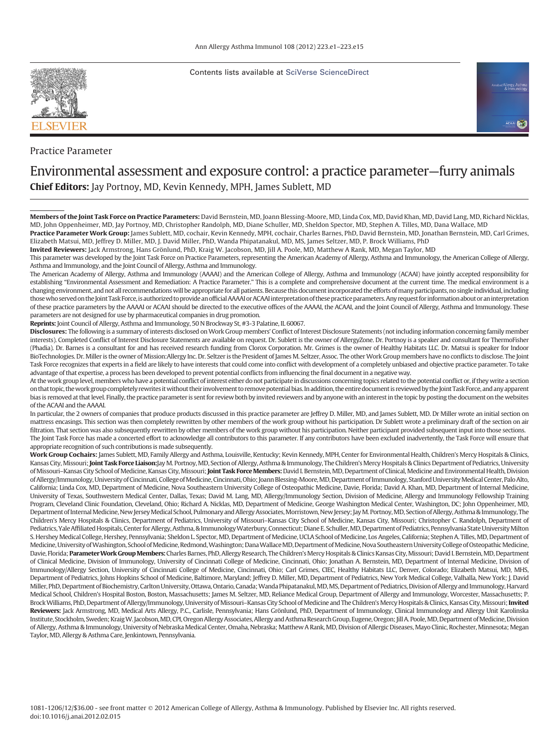

Practice Parameter

Contents lists available at [SciVerse ScienceDirect](http://www.sciencedirect.com/science/journal/01678809/)



# Environmental assessment and exposure control: a practice parameter—furry animals **Chief Editors:** Jay Portnoy, MD, Kevin Kennedy, MPH, James Sublett, MD

**Members of the Joint Task Force on Practice Parameters:** David Bernstein, MD, Joann Blessing-Moore, MD, Linda Cox, MD, David Khan, MD, David Lang, MD, Richard Nicklas, MD, John Oppenheimer, MD, Jay Portnoy, MD, Christopher Randolph, MD, Diane Schuller, MD, Sheldon Spector, MD, Stephen A. Tilles, MD, Dana Wallace, MD

**Practice Parameter Work Group:** James Sublett, MD, cochair, Kevin Kennedy, MPH, cochair, Charles Barnes, PhD, David Bernstein, MD, Jonathan Bernstein, MD, Carl Grimes, Elizabeth Matsui, MD, Jeffrey D. Miller, MD, J. David Miller, PhD, Wanda Phipatanakul, MD, MS, James Seltzer, MD, P. Brock Williams, PhD

Invited Reviewers: Jack Armstrong, Hans Grönlund, PhD, Kraig W. Jacobson, MD, Jill A. Poole, MD, Matthew A Rank, MD, Megan Taylor, MD

This parameter was developed by the Joint Task Force on Practice Parameters, representing the American Academy of Allergy, Asthma and Immunology, the American College of Allergy, Asthma and Immunology, and the Joint Council of Allergy, Asthma and Immunology.

The American Academy of Allergy, Asthma and Immunology (AAAAI) and the American College of Allergy, Asthma and Immunology (ACAAI) have jointly accepted responsibility for establishing "Environmental Assessment and Remediation: A Practice Parameter." This is a complete and comprehensive document at the current time. The medical environment is a changing environment, and not all recommendationswill be appropriate for all patients. Because this document incorporated the efforts ofmany participants, no single individual, including those who served on the Joint Task Force, is authorized to provide an official AAAAI or ACAAI interpretation of these practice parameters. Any request for information about or an interpretation of these practice parameters by the AAAAI or ACAAI should be directed to the executive offices of the AAAAI, the ACAAI, and the Joint Council of Allergy, Asthma and Immunology. These parameters are not designed for use by pharmaceutical companies in drug promotion.

**Reprints:** Joint Council of Allergy, Asthma and Immunology, 50 N Brockway St, #3-3 Palatine, IL 60067.

**Disclosures:** The following is a summary of interests disclosed onWork Group members' Conflict of Interest Disclosure Statements (not including information concerning family member interests). Completed Conflict of Interest Disclosure Statements are available on request. Dr. Sublett is the owner of AllergyZone. Dr. Portnoy is a speaker and consultant for ThermoFisher (Phadia). Dr. Barnes is a consultant for and has received research funding from Clorox Corporation. Mr. Grimes is the owner of Healthy Habitats LLC. Dr. Matsui is speaker for Indoor BioTechnologies. Dr. Miller is the owner of Mission:Allergy Inc. Dr. Seltzer is the President of James M. Seltzer, Assoc. The otherWork Group members have no conflicts to disclose. The Joint Task Force recognizes that experts in a field are likely to have interests that could come into conflict with development of a completely unbiased and objective practice parameter. To take advantage of that expertise, a process has been developed to prevent potential conflicts from influencing the final document in a negative way.

At the work group level, members who have a potential conflict of interest either do not participate in discussions concerning topics related to the potential conflict or, if they write a section on that topic, the work group completely rewrites it without their involvement to remove potential bias. In addition, the entire document is reviewed by the Joint Task Force, and any apparent bias is removed at that level. Finally, the practice parameter is sent for review both by invited reviewers and by anyone with an interest in the topic by posting the document on the websites of the ACAAI and the AAAAI.

In particular, the 2 owners of companies that produce products discussed in this practice parameter are Jeffrey D. Miller, MD, and James Sublett, MD. Dr Miller wrote an initial section on mattress encasings. This section was then completely rewritten by other members of the work group without his participation. Dr Sublett wrote a preliminary draft of the section on air filtration. That section was also subsequently rewritten by other members of the work group without his participation. Neither participant provided subsequent input into those sections. The Joint Task Force has made a concerted effort to acknowledge all contributors to this parameter. If any contributors have been excluded inadvertently, the Task Force will ensure that appropriate recognition of such contributions is made subsequently.

**Work Group Cochairs:** James Sublett, MD, Family Allergy and Asthma, Louisville, Kentucky; Kevin Kennedy, MPH, Center for Environmental Health, Children's Mercy Hospitals & Clinics, Kansas City, Missouri; Joint Task Force Liaison:Jay M. Portnoy, MD, Section of Allergy, Asthma & Immunology, The Children's Mercy Hospitals & Clinics Department of Pediatrics, University of Missouri-Kansas City School of Medicine, Kansas City, Missouri; Joint Task Force Members: David I. Bernstein, MD, Department of Clinical, Medicine and Environmental Health, Division of Allergy/Immunology, University of Cincinnati, College of Medicine, Cincinnati, Ohio; Joann Blessing-Moore, MD, Department of Immunology, Stanford University Medical Center, Palo Alto, California; Linda Cox, MD, Department of Medicine, Nova Southeastern University College of Osteopathic Medicine, Davie, Florida; David A. Khan, MD, Department of Internal Medicine, University of Texas, Southwestern Medical Center, Dallas, Texas; David M. Lang, MD, Allergy/Immunology Section, Division of Medicine, Allergy and Immunology Fellowship Training Program, Cleveland Clinic Foundation, Cleveland, Ohio; Richard A. Nicklas, MD, Department of Medicine, George Washington Medical Center, Washington, DC; John Oppenheimer, MD, Department of Internal Medicine, New Jersey Medical School, Pulmonary and Allergy Associates, Morristown, New Jersey; Jay M. Portnoy, MD, Section of Allergy, Asthma & Immunology, The Children's Mercy Hospitals & Clinics, Department of Pediatrics, University of Missouri–Kansas City School of Medicine, Kansas City, Missouri; Christopher C. Randolph, Department of Pediatrics, Yale Affiliated Hospitals, Center for Allergy, Asthma, & Immunology Waterbury, Connecticut; Diane E. Schuller, MD, Department of Pediatrics, Pennsylvania State University Milton S. Hershey Medical College, Hershey, Pennsylvania; Sheldon L. Spector, MD, Department of Medicine, UCLA School of Medicine, Los Angeles, California; Stephen A. Tilles, MD, Department of Medicine, University of Washington, School of Medicine, Redmond, Washington; Dana Wallace MD, Department of Medicine, Nova Southeastern University College of Osteopathic Medicine, Davie, Florida; Parameter Work Group Members: Charles Barnes, PhD, Allergy Research, The Children's Mercy Hospitals & Clinics Kansas City, Missouri; David I. Bernstein, MD, Department of Clinical Medicine, Division of Immunology, University of Cincinnati College of Medicine, Cincinnati, Ohio; Jonathan A. Bernstein, MD, Department of Internal Medicine, Division of Immunology/Allergy Section, University of Cincinnati College of Medicine, Cincinnati, Ohio; Carl Grimes, CIEC, Healthy Habitats LLC, Denver, Colorado; Elizabeth Matsui, MD, MHS, Department of Pediatrics, Johns Hopkins School of Medicine, Baltimore, Maryland; Jeffrey D. Miller, MD, Department of Pediatrics, New York Medical College, Valhalla, New York; J. David Miller, PhD, Department of Biochemistry, Carlton University, Ottawa, Ontario, Canada;Wanda Phipatanakul,MD,MS, Department of Pediatrics, Division ofAllergy and Immunology, Harvard Medical School, Children's Hospital Boston, Boston, Massachusetts; James M. Seltzer, MD, Reliance Medical Group, Department of Allergy and Immunology, Worcester, Massachusetts; P. Brock Williams, PhD, Department of Allergy/Immunology, University of Missouri-Kansas City School of Medicine and The Children's Mercy Hospitals & Clinics, Kansas City, Missouri; Invited Reviewers: Jack Armstrong, MD, Medical Arts Allergy, P.C., Carlisle, Pennsylvania; Hans Grönlund, PhD, Department of Immunology, Clinical Immunology and Allergy Unit Karolinska Institute, Stockholm, Sweden; Kraig W. Jacobson, MD, CPI, Oregon Allergy Associates, Allergy and Asthma Research Group, Eugene, Oregon; Jill A. Poole, MD, Department of Medicine, Division of Allergy, Asthma & Immunology, University of Nebraska Medical Center, Omaha, Nebraska; Matthew A Rank, MD, Division of Allergic Diseases, Mayo Clinic, Rochester, Minnesota; Megan Taylor, MD, Allergy & Asthma Care, Jenkintown, Pennsylvania.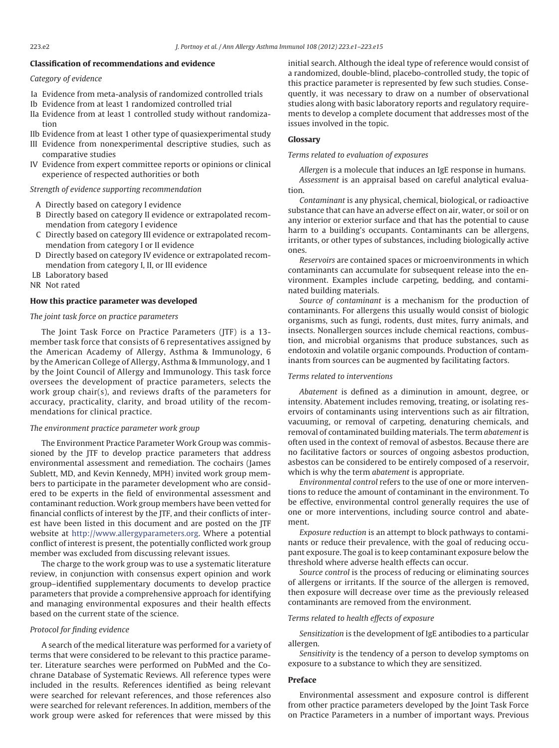## **Classification of recommendations and evidence**

## *Category of evidence*

- Ia Evidence from meta-analysis of randomized controlled trials
- Ib Evidence from at least 1 randomized controlled trial
- IIa Evidence from at least 1 controlled study without randomization
- IIb Evidence from at least 1 other type of quasiexperimental study
- III Evidence from nonexperimental descriptive studies, such as comparative studies
- IV Evidence from expert committee reports or opinions or clinical experience of respected authorities or both

## *Strength of evidence supporting recommendation*

- A Directly based on category I evidence
- B Directly based on category II evidence or extrapolated recommendation from category I evidence
- C Directly based on category III evidence or extrapolated recommendation from category I or II evidence
- D Directly based on category IV evidence or extrapolated recommendation from category I, II, or III evidence
- LB Laboratory based
- NR Not rated

## **How this practice parameter was developed**

# *The joint task force on practice parameters*

The Joint Task Force on Practice Parameters (JTF) is a 13member task force that consists of 6 representatives assigned by the American Academy of Allergy, Asthma & Immunology, 6 by the American College of Allergy, Asthma & Immunology, and 1 by the Joint Council of Allergy and Immunology. This task force oversees the development of practice parameters, selects the work group chair(s), and reviews drafts of the parameters for accuracy, practicality, clarity, and broad utility of the recommendations for clinical practice.

## *The environment practice parameter work group*

The Environment Practice Parameter Work Group was commissioned by the JTF to develop practice parameters that address environmental assessment and remediation. The cochairs (James Sublett, MD, and Kevin Kennedy, MPH) invited work group members to participate in the parameter development who are considered to be experts in the field of environmental assessment and contaminant reduction. Work group members have been vetted for financial conflicts of interest by the JTF, and their conflicts of interest have been listed in this document and are posted on the JTF website at [http://www.allergyparameters.org.](http://www.allergyparameters.org) Where a potential conflict of interest is present, the potentially conflicted work group member was excluded from discussing relevant issues.

The charge to the work group was to use a systematic literature review, in conjunction with consensus expert opinion and work group–identified supplementary documents to develop practice parameters that provide a comprehensive approach for identifying and managing environmental exposures and their health effects based on the current state of the science.

## *Protocol for finding evidence*

A search of the medical literature was performed for a variety of terms that were considered to be relevant to this practice parameter. Literature searches were performed on PubMed and the Cochrane Database of Systematic Reviews. All reference types were included in the results. References identified as being relevant were searched for relevant references, and those references also were searched for relevant references. In addition, members of the work group were asked for references that were missed by this initial search. Although the ideal type of reference would consist of a randomized, double-blind, placebo-controlled study, the topic of this practice parameter is represented by few such studies. Consequently, it was necessary to draw on a number of observational studies along with basic laboratory reports and regulatory requirements to develop a complete document that addresses most of the issues involved in the topic.

## **Glossary**

## *Terms related to evaluation of exposures*

*Allergen* is a molecule that induces an IgE response in humans. *Assessment* is an appraisal based on careful analytical evaluation.

*Contaminant* is any physical, chemical, biological, or radioactive substance that can have an adverse effect on air, water, or soil or on any interior or exterior surface and that has the potential to cause harm to a building's occupants. Contaminants can be allergens, irritants, or other types of substances, including biologically active ones.

*Reservoirs* are contained spaces or microenvironments in which contaminants can accumulate for subsequent release into the environment. Examples include carpeting, bedding, and contaminated building materials.

*Source of contaminant* is a mechanism for the production of contaminants. For allergens this usually would consist of biologic organisms, such as fungi, rodents, dust mites, furry animals, and insects. Nonallergen sources include chemical reactions, combustion, and microbial organisms that produce substances, such as endotoxin and volatile organic compounds. Production of contaminants from sources can be augmented by facilitating factors.

## *Terms related to interventions*

*Abatement* is defined as a diminution in amount, degree, or intensity. Abatement includes removing, treating, or isolating reservoirs of contaminants using interventions such as air filtration, vacuuming, or removal of carpeting, denaturing chemicals, and removal of contaminated building materials. The term *abatement* is often used in the context of removal of asbestos. Because there are no facilitative factors or sources of ongoing asbestos production, asbestos can be considered to be entirely composed of a reservoir, which is why the term *abatement* is appropriate.

*Environmental control* refers to the use of one or more interventions to reduce the amount of contaminant in the environment. To be effective, environmental control generally requires the use of one or more interventions, including source control and abatement.

*Exposure reduction* is an attempt to block pathways to contaminants or reduce their prevalence, with the goal of reducing occupant exposure. The goal is to keep contaminant exposure below the threshold where adverse health effects can occur.

*Source control* is the process of reducing or eliminating sources of allergens or irritants. If the source of the allergen is removed, then exposure will decrease over time as the previously released contaminants are removed from the environment.

# *Terms related to health effects of exposure*

*Sensitization* is the development of IgE antibodies to a particular allergen.

*Sensitivity* is the tendency of a person to develop symptoms on exposure to a substance to which they are sensitized.

#### **Preface**

Environmental assessment and exposure control is different from other practice parameters developed by the Joint Task Force on Practice Parameters in a number of important ways. Previous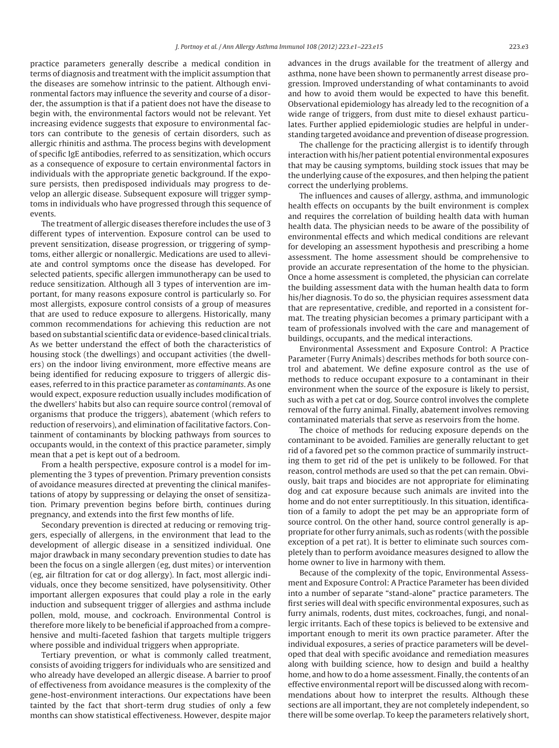practice parameters generally describe a medical condition in terms of diagnosis and treatment with the implicit assumption that the diseases are somehow intrinsic to the patient. Although environmental factors may influence the severity and course of a disorder, the assumption is that if a patient does not have the disease to begin with, the environmental factors would not be relevant. Yet increasing evidence suggests that exposure to environmental factors can contribute to the genesis of certain disorders, such as allergic rhinitis and asthma. The process begins with development of specific IgE antibodies, referred to as sensitization, which occurs as a consequence of exposure to certain environmental factors in individuals with the appropriate genetic background. If the exposure persists, then predisposed individuals may progress to develop an allergic disease. Subsequent exposure will trigger symptoms in individuals who have progressed through this sequence of events.

The treatment of allergic diseases therefore includes the use of 3 different types of intervention. Exposure control can be used to prevent sensitization, disease progression, or triggering of symptoms, either allergic or nonallergic. Medications are used to alleviate and control symptoms once the disease has developed. For selected patients, specific allergen immunotherapy can be used to reduce sensitization. Although all 3 types of intervention are important, for many reasons exposure control is particularly so. For most allergists, exposure control consists of a group of measures that are used to reduce exposure to allergens. Historically, many common recommendations for achieving this reduction are not based on substantial scientific data or evidence-based clinical trials. As we better understand the effect of both the characteristics of housing stock (the dwellings) and occupant activities (the dwellers) on the indoor living environment, more effective means are being identified for reducing exposure to triggers of allergic diseases, referred to in this practice parameter as *contaminants*. As one would expect, exposure reduction usually includes modification of the dwellers' habits but also can require source control (removal of organisms that produce the triggers), abatement (which refers to reduction of reservoirs), and elimination of facilitative factors. Containment of contaminants by blocking pathways from sources to occupants would, in the context of this practice parameter, simply mean that a pet is kept out of a bedroom.

From a health perspective, exposure control is a model for implementing the 3 types of prevention. Primary prevention consists of avoidance measures directed at preventing the clinical manifestations of atopy by suppressing or delaying the onset of sensitization. Primary prevention begins before birth, continues during pregnancy, and extends into the first few months of life.

Secondary prevention is directed at reducing or removing triggers, especially of allergens, in the environment that lead to the development of allergic disease in a sensitized individual. One major drawback in many secondary prevention studies to date has been the focus on a single allergen (eg, dust mites) or intervention (eg, air filtration for cat or dog allergy). In fact, most allergic individuals, once they become sensitized, have polysensitivity. Other important allergen exposures that could play a role in the early induction and subsequent trigger of allergies and asthma include pollen, mold, mouse, and cockroach. Environmental Control is therefore more likely to be beneficial if approached from a comprehensive and multi-faceted fashion that targets multiple triggers where possible and individual triggers when appropriate.

Tertiary prevention, or what is commonly called treatment, consists of avoiding triggers for individuals who are sensitized and who already have developed an allergic disease. A barrier to proof of effectiveness from avoidance measures is the complexity of the gene-host-environment interactions. Our expectations have been tainted by the fact that short-term drug studies of only a few months can show statistical effectiveness. However, despite major

advances in the drugs available for the treatment of allergy and asthma, none have been shown to permanently arrest disease progression. Improved understanding of what contaminants to avoid and how to avoid them would be expected to have this benefit. Observational epidemiology has already led to the recognition of a wide range of triggers, from dust mite to diesel exhaust particulates. Further applied epidemiologic studies are helpful in understanding targeted avoidance and prevention of disease progression.

The challenge for the practicing allergist is to identify through interaction with his/her patient potential environmental exposures that may be causing symptoms, building stock issues that may be the underlying cause of the exposures, and then helping the patient correct the underlying problems.

The influences and causes of allergy, asthma, and immunologic health effects on occupants by the built environment is complex and requires the correlation of building health data with human health data. The physician needs to be aware of the possibility of environmental effects and which medical conditions are relevant for developing an assessment hypothesis and prescribing a home assessment. The home assessment should be comprehensive to provide an accurate representation of the home to the physician. Once a home assessment is completed, the physician can correlate the building assessment data with the human health data to form his/her diagnosis. To do so, the physician requires assessment data that are representative, credible, and reported in a consistent format. The treating physician becomes a primary participant with a team of professionals involved with the care and management of buildings, occupants, and the medical interactions.

Environmental Assessment and Exposure Control: A Practice Parameter (Furry Animals) describes methods for both source control and abatement. We define exposure control as the use of methods to reduce occupant exposure to a contaminant in their environment when the source of the exposure is likely to persist, such as with a pet cat or dog. Source control involves the complete removal of the furry animal. Finally, abatement involves removing contaminated materials that serve as reservoirs from the home.

The choice of methods for reducing exposure depends on the contaminant to be avoided. Families are generally reluctant to get rid of a favored pet so the common practice of summarily instructing them to get rid of the pet is unlikely to be followed. For that reason, control methods are used so that the pet can remain. Obviously, bait traps and biocides are not appropriate for eliminating dog and cat exposure because such animals are invited into the home and do not enter surreptitiously. In this situation, identification of a family to adopt the pet may be an appropriate form of source control. On the other hand, source control generally is appropriate for other furry animals, such as rodents (with the possible exception of a pet rat). It is better to eliminate such sources completely than to perform avoidance measures designed to allow the home owner to live in harmony with them.

Because of the complexity of the topic, Environmental Assessment and Exposure Control: A Practice Parameter has been divided into a number of separate "stand-alone" practice parameters. The first series will deal with specific environmental exposures, such as furry animals, rodents, dust mites, cockroaches, fungi, and nonallergic irritants. Each of these topics is believed to be extensive and important enough to merit its own practice parameter. After the individual exposures, a series of practice parameters will be developed that deal with specific avoidance and remediation measures along with building science, how to design and build a healthy home, and how to do a home assessment. Finally, the contents of an effective environmental report will be discussed along with recommendations about how to interpret the results. Although these sections are all important, they are not completely independent, so there will be some overlap. To keep the parameters relatively short,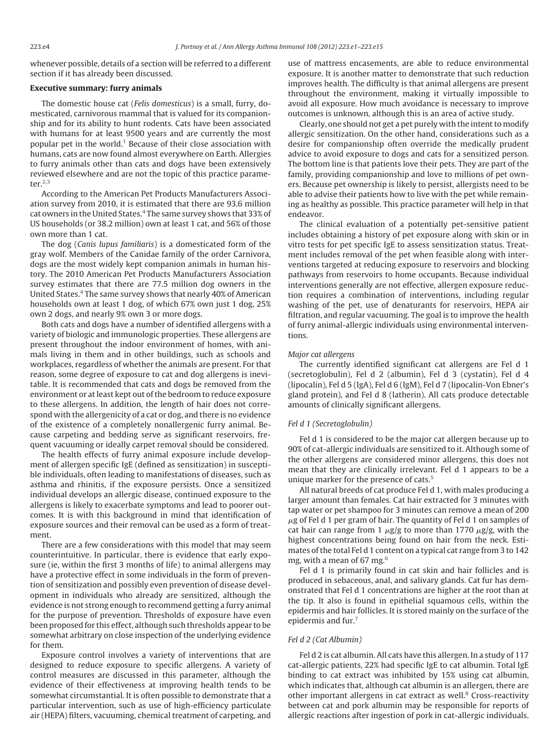whenever possible, details of a section will be referred to a different section if it has already been discussed.

## **Executive summary: furry animals**

The domestic house cat (*Felis domesticus*) is a small, furry, domesticated, carnivorous mammal that is valued for its companionship and for its ability to hunt rodents. Cats have been associated with humans for at least 9500 years and are currently the most popular pet in the world.<sup>[1](#page-12-0)</sup> Because of their close association with humans, cats are now found almost everywhere on Earth. Allergies to furry animals other than cats and dogs have been extensively reviewed elsewhere and are not the topic of this practice parameter. $2,3$ 

According to the American Pet Products Manufacturers Association survey from 2010, it is estimated that there are 93.6 million cat owners in the United States.<sup>[4](#page-12-2)</sup> The same survey shows that 33% of US households (or 38.2 million) own at least 1 cat, and 56% of those own more than 1 cat.

The dog (*Canis lupus familiaris*) is a domesticated form of the gray wolf. Members of the Canidae family of the order Carnivora, dogs are the most widely kept companion animals in human history. The 2010 American Pet Products Manufacturers Association survey estimates that there are 77.5 million dog owners in the United States[.4](#page-12-2) The same survey shows that nearly 40% of American households own at least 1 dog, of which 67% own just 1 dog, 25% own 2 dogs, and nearly 9% own 3 or more dogs.

Both cats and dogs have a number of identified allergens with a variety of biologic and immunologic properties. These allergens are present throughout the indoor environment of homes, with animals living in them and in other buildings, such as schools and workplaces, regardless of whether the animals are present. For that reason, some degree of exposure to cat and dog allergens is inevitable. It is recommended that cats and dogs be removed from the environment or at least kept out of the bedroom to reduce exposure to these allergens. In addition, the length of hair does not correspond with the allergenicity of a cat or dog, and there is no evidence of the existence of a completely nonallergenic furry animal. Because carpeting and bedding serve as significant reservoirs, frequent vacuuming or ideally carpet removal should be considered.

The health effects of furry animal exposure include development of allergen specific IgE (defined as sensitization) in susceptible individuals, often leading to manifestations of diseases, such as asthma and rhinitis, if the exposure persists. Once a sensitized individual develops an allergic disease, continued exposure to the allergens is likely to exacerbate symptoms and lead to poorer outcomes. It is with this background in mind that identification of exposure sources and their removal can be used as a form of treatment.

There are a few considerations with this model that may seem counterintuitive. In particular, there is evidence that early exposure (ie, within the first 3 months of life) to animal allergens may have a protective effect in some individuals in the form of prevention of sensitization and possibly even prevention of disease development in individuals who already are sensitized, although the evidence is not strong enough to recommend getting a furry animal for the purpose of prevention. Thresholds of exposure have even been proposed for this effect, although such thresholds appear to be somewhat arbitrary on close inspection of the underlying evidence for them.

Exposure control involves a variety of interventions that are designed to reduce exposure to specific allergens. A variety of control measures are discussed in this parameter, although the evidence of their effectiveness at improving health tends to be somewhat circumstantial. It is often possible to demonstrate that a particular intervention, such as use of high-efficiency particulate air (HEPA) filters, vacuuming, chemical treatment of carpeting, and

use of mattress encasements, are able to reduce environmental exposure. It is another matter to demonstrate that such reduction improves health. The difficulty is that animal allergens are present throughout the environment, making it virtually impossible to avoid all exposure. How much avoidance is necessary to improve outcomes is unknown, although this is an area of active study.

Clearly, one should not get a pet purely with the intent to modify allergic sensitization. On the other hand, considerations such as a desire for companionship often override the medically prudent advice to avoid exposure to dogs and cats for a sensitized person. The bottom line is that patients love their pets. They are part of the family, providing companionship and love to millions of pet owners. Because pet ownership is likely to persist, allergists need to be able to advise their patients how to live with the pet while remaining as healthy as possible. This practice parameter will help in that endeavor.

The clinical evaluation of a potentially pet-sensitive patient includes obtaining a history of pet exposure along with skin or in vitro tests for pet specific IgE to assess sensitization status. Treatment includes removal of the pet when feasible along with interventions targeted at reducing exposure to reservoirs and blocking pathways from reservoirs to home occupants. Because individual interventions generally are not effective, allergen exposure reduction requires a combination of interventions, including regular washing of the pet, use of denaturants for reservoirs, HEPA air filtration, and regular vacuuming. The goal is to improve the health of furry animal-allergic individuals using environmental interventions.

#### *Major cat allergens*

The currently identified significant cat allergens are Fel d 1 (secretoglobulin), Fel d 2 (albumin), Fel d 3 (cystatin), Fel d 4 (lipocalin), Fel d 5 (IgA), Fel d 6 (IgM), Fel d 7 (lipocalin-Von Ebner's gland protein), and Fel d 8 (latherin). All cats produce detectable amounts of clinically significant allergens.

## *Fel d 1 (Secretoglobulin)*

Fel d 1 is considered to be the major cat allergen because up to 90% of cat-allergic individuals are sensitized to it. Although some of the other allergens are considered minor allergens, this does not mean that they are clinically irrelevant. Fel d 1 appears to be a unique marker for the presence of cats.<sup>5</sup>

All natural breeds of cat produce Fel d 1, with males producing a larger amount than females. Cat hair extracted for 3 minutes with tap water or pet shampoo for 3 minutes can remove a mean of 200  $\mu$ g of Fel d 1 per gram of hair. The quantity of Fel d 1 on samples of cat hair can range from 1  $\mu$ g/g to more than 1770  $\mu$ g/g, with the highest concentrations being found on hair from the neck. Estimates of the total Fel d 1 content on a typical cat range from 3 to 142 mg, with a mean of 67 mg. $^{6}$ 

Fel d 1 is primarily found in cat skin and hair follicles and is produced in sebaceous, anal, and salivary glands. Cat fur has demonstrated that Fel d 1 concentrations are higher at the root than at the tip. It also is found in epithelial squamous cells, within the epidermis and hair follicles. It is stored mainly on the surface of the epidermis and fur.[7](#page-12-5)

#### *Fel d 2 (Cat Albumin)*

Fel d 2 is cat albumin. All cats have this allergen. In a study of 117 cat-allergic patients, 22% had specific IgE to cat albumin. Total IgE binding to cat extract was inhibited by 15% using cat albumin, which indicates that, although cat albumin is an allergen, there are other important allergens in cat extract as well.<sup>[8](#page-12-6)</sup> Cross-reactivity between cat and pork albumin may be responsible for reports of allergic reactions after ingestion of pork in cat-allergic individuals.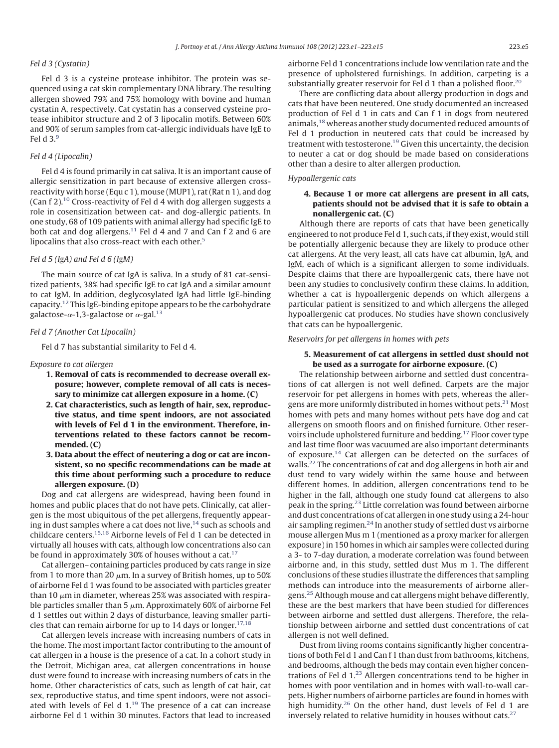## *Fel d 3 (Cystatin)*

Fel d 3 is a cysteine protease inhibitor. The protein was sequenced using a cat skin complementary DNA library. The resulting allergen showed 79% and 75% homology with bovine and human cystatin A, respectively. Cat cystatin has a conserved cysteine protease inhibitor structure and 2 of 3 lipocalin motifs. Between 60% and 90% of serum samples from cat-allergic individuals have IgE to Fel d  $3.9$  $3.9$ 

## *Fel d 4 (Lipocalin)*

Fel d 4 is found primarily in cat saliva. It is an important cause of allergic sensitization in part because of extensive allergen crossreactivity with horse (Equ c 1), mouse (MUP1), rat (Rat n 1), and dog (Can  $f$  2).<sup>[10](#page-12-8)</sup> Cross-reactivity of Fel d 4 with dog allergen suggests a role in cosensitization between cat- and dog-allergic patients. In one study, 68 of 109 patients with animal allergy had specific IgE to both cat and dog allergens.<sup>[11](#page-12-9)</sup> Fel d 4 and 7 and Can f 2 and 6 are lipocalins that also cross-react with each other.<sup>5</sup>

# *Fel d 5 (IgA) and Fel d 6 (IgM)*

The main source of cat IgA is saliva. In a study of 81 cat-sensitized patients, 38% had specific IgE to cat IgA and a similar amount to cat IgM. In addition, deglycosylated IgA had little IgE-binding capacity[.12](#page-12-10) This IgE-binding epitope appears to be the carbohydrate galactose- $\alpha$ -1,3-galactose or  $\alpha$ -gal.<sup>13</sup>

## *Fel d 7 (Another Cat Lipocalin)*

Fel d 7 has substantial similarity to Fel d 4.

## *Exposure to cat allergen*

- **1. Removal of cats is recommended to decrease overall exposure; however, complete removal of all cats is necessary to minimize cat allergen exposure in a home. (C)**
- **2. Cat characteristics, such as length of hair, sex, reproductive status, and time spent indoors, are not associated with levels of Fel d 1 in the environment. Therefore, interventions related to these factors cannot be recommended. (C)**
- **3. Data about the effect of neutering a dog or cat are inconsistent, so no specific recommendations can be made at this time about performing such a procedure to reduce allergen exposure. (D)**

Dog and cat allergens are widespread, having been found in homes and public places that do not have pets. Clinically, cat allergen is the most ubiquitous of the pet allergens, frequently appearing in dust samples where a cat does not live, $14$  such as schools and childcare centers[.15,16](#page-12-13) Airborne levels of Fel d 1 can be detected in virtually all houses with cats, although low concentrations also can be found in approximately 30% of houses without a cat.<sup>17</sup>

Cat allergen– containing particles produced by cats range in size from 1 to more than 20  $\mu$ m. In a survey of British homes, up to 50% of airborne Fel d 1 was found to be associated with particles greater than 10  $\mu$ m in diameter, whereas 25% was associated with respirable particles smaller than 5  $\mu$ m. Approximately 60% of airborne Fel d 1 settles out within 2 days of disturbance, leaving smaller particles that can remain airborne for up to 14 days or longer. $17,18$ 

Cat allergen levels increase with increasing numbers of cats in the home. The most important factor contributing to the amount of cat allergen in a house is the presence of a cat. In a cohort study in the Detroit, Michigan area, cat allergen concentrations in house dust were found to increase with increasing numbers of cats in the home. Other characteristics of cats, such as length of cat hair, cat sex, reproductive status, and time spent indoors, were not associated with levels of Fel d 1.[19](#page-12-15) The presence of a cat can increase airborne Fel d 1 within 30 minutes. Factors that lead to increased

airborne Fel d 1 concentrations include low ventilation rate and the presence of upholstered furnishings. In addition, carpeting is a substantially greater reservoir for Fel d 1 than a polished floor.<sup>20</sup>

There are conflicting data about allergy production in dogs and cats that have been neutered. One study documented an increased production of Fel d 1 in cats and Can f 1 in dogs from neutered animals,  $^{18}$  $^{18}$  $^{18}$  whereas another study documented reduced amounts of Fel d 1 production in neutered cats that could be increased by treatment with testosterone.[19](#page-12-15) Given this uncertainty, the decision to neuter a cat or dog should be made based on considerations other than a desire to alter allergen production.

#### *Hypoallergenic cats*

# **4. Because 1 or more cat allergens are present in all cats, patients should not be advised that it is safe to obtain a nonallergenic cat. (C)**

Although there are reports of cats that have been genetically engineered to not produce Fel d 1, such cats, if they exist, would still be potentially allergenic because they are likely to produce other cat allergens. At the very least, all cats have cat albumin, IgA, and IgM, each of which is a significant allergen to some individuals. Despite claims that there are hypoallergenic cats, there have not been any studies to conclusively confirm these claims. In addition, whether a cat is hypoallergenic depends on which allergens a particular patient is sensitized to and which allergens the alleged hypoallergenic cat produces. No studies have shown conclusively that cats can be hypoallergenic.

## *Reservoirs for pet allergens in homes with pets*

# **5. Measurement of cat allergens in settled dust should not be used as a surrogate for airborne exposure. (C)**

The relationship between airborne and settled dust concentrations of cat allergen is not well defined. Carpets are the major reservoir for pet allergens in homes with pets, whereas the allergens are more uniformly distributed in homes without pets.<sup>21</sup> Most homes with pets and many homes without pets have dog and cat allergens on smooth floors and on finished furniture. Other reservoirs include upholstered furniture and bedding.[17](#page-12-14) Floor cover type and last time floor was vacuumed are also important determinants of exposure.<sup>14</sup> Cat allergen can be detected on the surfaces of walls[.22](#page-12-19) The concentrations of cat and dog allergens in both air and dust tend to vary widely within the same house and between different homes. In addition, allergen concentrations tend to be higher in the fall, although one study found cat allergens to also peak in the spring[.23](#page-12-20) Little correlation was found between airborne and dust concentrations of cat allergen in one study using a 24-hour air sampling regimen. $24$  In another study of settled dust vs airborne mouse allergen Mus m 1 (mentioned as a proxy marker for allergen exposure) in 150 homes in which air samples were collected during a 3- to 7-day duration, a moderate correlation was found between airborne and, in this study, settled dust Mus m 1. The different conclusions of these studies illustrate the differences that sampling methods can introduce into the measurements of airborne allergens[.25](#page-12-22) Although mouse and cat allergens might behave differently, these are the best markers that have been studied for differences between airborne and settled dust allergens. Therefore, the relationship between airborne and settled dust concentrations of cat allergen is not well defined.

Dust from living rooms contains significantly higher concentrations of both Fel d 1 and Can f 1 than dust from bathrooms, kitchens, and bedrooms, although the beds may contain even higher concentrations of Fel d  $1<sup>23</sup>$  Allergen concentrations tend to be higher in homes with poor ventilation and in homes with wall-to-wall carpets. Higher numbers of airborne particles are found in homes with high humidity.<sup>26</sup> On the other hand, dust levels of Fel d 1 are inversely related to relative humidity in houses without cats. $27$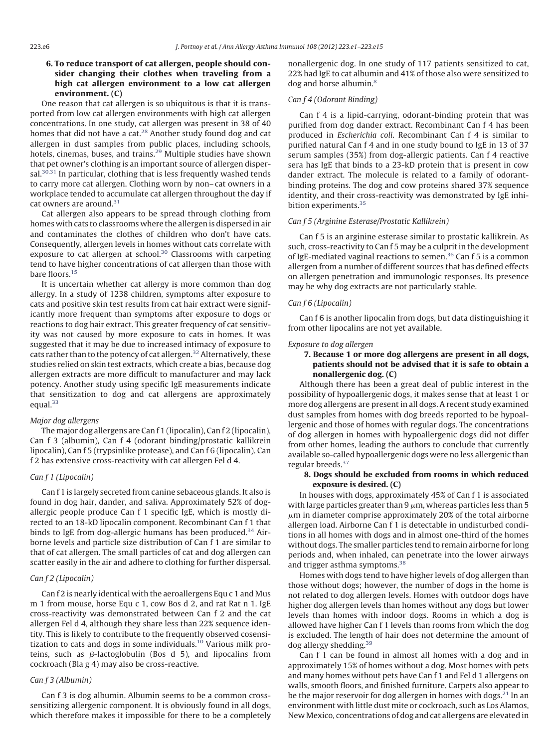# **6. To reduce transport of cat allergen, people should consider changing their clothes when traveling from a high cat allergen environment to a low cat allergen environment. (C)**

One reason that cat allergen is so ubiquitous is that it is transported from low cat allergen environments with high cat allergen concentrations. In one study, cat allergen was present in 38 of 40 homes that did not have a cat.<sup>28</sup> Another study found dog and cat allergen in dust samples from public places, including schools, hotels, cinemas, buses, and trains.<sup>29</sup> Multiple studies have shown that pet owner's clothing is an important source of allergen dispersal.<sup>30,31</sup> In particular, clothing that is less frequently washed tends to carry more cat allergen. Clothing worn by non– cat owners in a workplace tended to accumulate cat allergen throughout the day if cat owners are around.<sup>31</sup>

Cat allergen also appears to be spread through clothing from homes with cats to classrooms where the allergen is dispersed in air and contaminates the clothes of children who don't have cats. Consequently, allergen levels in homes without cats correlate with exposure to cat allergen at school.<sup>[30](#page-13-1)</sup> Classrooms with carpeting tend to have higher concentrations of cat allergen than those with bare floors[.15](#page-12-13)

It is uncertain whether cat allergy is more common than dog allergy. In a study of 1238 children, symptoms after exposure to cats and positive skin test results from cat hair extract were significantly more frequent than symptoms after exposure to dogs or reactions to dog hair extract. This greater frequency of cat sensitivity was not caused by more exposure to cats in homes. It was suggested that it may be due to increased intimacy of exposure to cats rather than to the potency of cat allergen.<sup>[32](#page-13-3)</sup> Alternatively, these studies relied on skin test extracts, which create a bias, because dog allergen extracts are more difficult to manufacturer and may lack potency. Another study using specific IgE measurements indicate that sensitization to dog and cat allergens are approximately equal.<sup>[33](#page-13-4)</sup>

## *Major dog allergens*

The major dog allergens are Can f 1 (lipocalin), Can f 2 (lipocalin), Can f 3 (albumin), Can f 4 (odorant binding/prostatic kallikrein lipocalin), Can f 5 (trypsinlike protease), and Can f 6 (lipocalin). Can f 2 has extensive cross-reactivity with cat allergen Fel d 4.

## *Can f 1 (Lipocalin)*

Can f 1 is largely secreted from canine sebaceous glands. It also is found in dog hair, dander, and saliva. Approximately 52% of dogallergic people produce Can f 1 specific IgE, which is mostly directed to an 18-kD lipocalin component. Recombinant Can f 1 that binds to IgE from dog-allergic humans has been produced.<sup>[34](#page-13-5)</sup> Airborne levels and particle size distribution of Can f 1 are similar to that of cat allergen. The small particles of cat and dog allergen can scatter easily in the air and adhere to clothing for further dispersal.

# *Can f 2 (Lipocalin)*

Can f 2 is nearly identical with the aeroallergens Equ c 1 and Mus m 1 from mouse, horse Equ c 1, cow Bos d 2, and rat Rat n 1. IgE cross-reactivity was demonstrated between Can f 2 and the cat allergen Fel d 4, although they share less than 22% sequence identity. This is likely to contribute to the frequently observed cosensitization to cats and dogs in some individuals.<sup>10</sup> Various milk proteins, such as  $\beta$ -lactoglobulin (Bos d 5), and lipocalins from cockroach (Bla g 4) may also be cross-reactive.

## *Can f 3 (Albumin)*

Can f 3 is dog albumin. Albumin seems to be a common crosssensitizing allergenic component. It is obviously found in all dogs, which therefore makes it impossible for there to be a completely

nonallergenic dog. In one study of 117 patients sensitized to cat, 22% had IgE to cat albumin and 41% of those also were sensitized to dog and horse albumin.<sup>8</sup>

# *Can f 4 (Odorant Binding)*

Can f 4 is a lipid-carrying, odorant-binding protein that was purified from dog dander extract. Recombinant Can f 4 has been produced in *Escherichia coli*. Recombinant Can f 4 is similar to purified natural Can f 4 and in one study bound to IgE in 13 of 37 serum samples (35%) from dog-allergic patients. Can f 4 reactive sera has IgE that binds to a 23-kD protein that is present in cow dander extract. The molecule is related to a family of odorantbinding proteins. The dog and cow proteins shared 37% sequence identity, and their cross-reactivity was demonstrated by IgE inhibition experiments.<sup>35</sup>

## *Can f 5 (Arginine Esterase/Prostatic Kallikrein)*

Can f 5 is an arginine esterase similar to prostatic kallikrein. As such, cross-reactivity to Can f 5 may be a culprit in the development of IgE-mediated vaginal reactions to semen.<sup>[36](#page-13-7)</sup> Can  $f$  5 is a common allergen from a number of different sources that has defined effects on allergen penetration and immunologic responses. Its presence may be why dog extracts are not particularly stable.

#### *Can f 6 (Lipocalin)*

Can f 6 is another lipocalin from dogs, but data distinguishing it from other lipocalins are not yet available.

## *Exposure to dog allergen*

# **7. Because 1 or more dog allergens are present in all dogs, patients should not be advised that it is safe to obtain a nonallergenic dog. (C)**

Although there has been a great deal of public interest in the possibility of hypoallergenic dogs, it makes sense that at least 1 or more dog allergens are present in all dogs. A recent study examined dust samples from homes with dog breeds reported to be hypoallergenic and those of homes with regular dogs. The concentrations of dog allergen in homes with hypoallergenic dogs did not differ from other homes, leading the authors to conclude that currently available so-called hypoallergenic dogs were no less allergenic than regular breeds.<sup>37</sup>

## **8. Dogs should be excluded from rooms in which reduced exposure is desired. (C)**

In houses with dogs, approximately 45% of Can f 1 is associated with large particles greater than 9  $\mu$ m, whereas particles less than 5  $\mu$ m in diameter comprise approximately 20% of the total airborne allergen load. Airborne Can f 1 is detectable in undisturbed conditions in all homes with dogs and in almost one-third of the homes without dogs. The smaller particles tend to remain airborne for long periods and, when inhaled, can penetrate into the lower airways and trigger asthma symptoms.<sup>38</sup>

Homes with dogs tend to have higher levels of dog allergen than those without dogs; however, the number of dogs in the home is not related to dog allergen levels. Homes with outdoor dogs have higher dog allergen levels than homes without any dogs but lower levels than homes with indoor dogs. Rooms in which a dog is allowed have higher Can f 1 levels than rooms from which the dog is excluded. The length of hair does not determine the amount of dog allergy shedding.[39](#page-13-10)

Can f 1 can be found in almost all homes with a dog and in approximately 15% of homes without a dog. Most homes with pets and many homes without pets have Can f 1 and Fel d 1 allergens on walls, smooth floors, and finished furniture. Carpets also appear to be the major reservoir for dog allergen in homes with dogs.<sup>[21](#page-12-18)</sup> In an environment with little dust mite or cockroach, such as Los Alamos, New Mexico, concentrations of dog and cat allergens are elevated in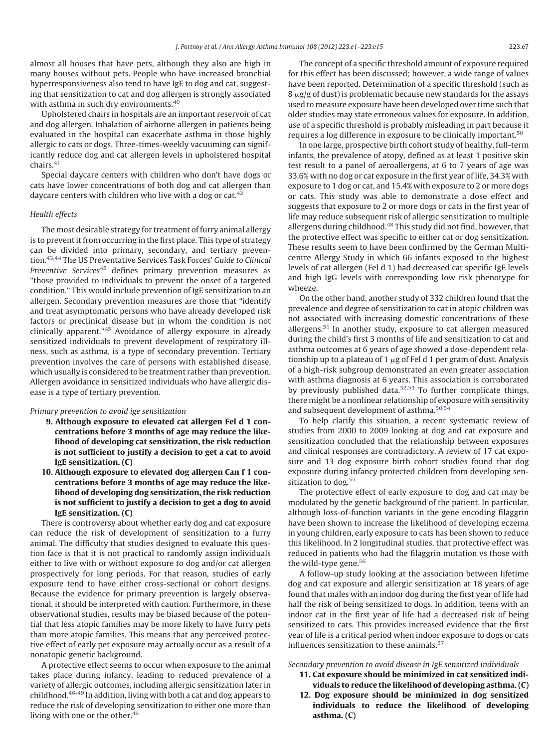almost all houses that have pets, although they also are high in many houses without pets. People who have increased bronchial hyperresponsiveness also tend to have IgE to dog and cat, suggesting that sensitization to cat and dog allergen is strongly associated with asthma in such dry environments.<sup>40</sup>

Upholstered chairs in hospitals are an important reservoir of cat and dog allergen. Inhalation of airborne allergen in patients being evaluated in the hospital can exacerbate asthma in those highly allergic to cats or dogs. Three-times-weekly vacuuming can significantly reduce dog and cat allergen levels in upholstered hospital chairs.[41](#page-13-12)

Special daycare centers with children who don't have dogs or cats have lower concentrations of both dog and cat allergen than daycare centers with children who live with a dog or cat.<sup>42</sup>

## *Health effects*

The most desirable strategy for treatment of furry animal allergy is to prevent it from occurring in the first place. This type of strategy can be divided into primary, secondary, and tertiary prevention.[43,44](#page-13-14) The US Preventative Services Task Forces' *Guide to Clinical Preventive Services*[45](#page-13-15) defines primary prevention measures as "those provided to individuals to prevent the onset of a targeted condition." This would include prevention of IgE sensitization to an allergen. Secondary prevention measures are those that "identify and treat asymptomatic persons who have already developed risk factors or preclinical disease but in whom the condition is not clinically apparent.["45](#page-13-15) Avoidance of allergy exposure in already sensitized individuals to prevent development of respiratory illness, such as asthma, is a type of secondary prevention. Tertiary prevention involves the care of persons with established disease, which usually is considered to be treatment rather than prevention. Allergen avoidance in sensitized individuals who have allergic disease is a type of tertiary prevention.

## *Primary prevention to avoid ige sensitization*

- **9. Although exposure to elevated cat allergen Fel d 1 concentrations before 3 months of age may reduce the likelihood of developing cat sensitization, the risk reduction is not sufficient to justify a decision to get a cat to avoid IgE sensitization. (C)**
- **10. Although exposure to elevated dog allergen Can f 1 concentrations before 3 months of age may reduce the likelihood of developing dog sensitization, the risk reduction is not sufficient to justify a decision to get a dog to avoid IgE sensitization. (C)**

There is controversy about whether early dog and cat exposure can reduce the risk of development of sensitization to a furry animal. The difficulty that studies designed to evaluate this question face is that it is not practical to randomly assign individuals either to live with or without exposure to dog and/or cat allergen prospectively for long periods. For that reason, studies of early exposure tend to have either cross-sectional or cohort designs. Because the evidence for primary prevention is largely observational, it should be interpreted with caution. Furthermore, in these observational studies, results may be biased because of the potential that less atopic families may be more likely to have furry pets than more atopic families. This means that any perceived protective effect of early pet exposure may actually occur as a result of a nonatopic genetic background.

A protective effect seems to occur when exposure to the animal takes place during infancy, leading to reduced prevalence of a variety of allergic outcomes, including allergic sensitization later in childhood[.46-49](#page-13-16) In addition, living with both a cat and dog appears to reduce the risk of developing sensitization to either one more than living with one or the other. $46$ 

The concept of a specific threshold amount of exposure required for this effect has been discussed; however, a wide range of values have been reported. Determination of a specific threshold (such as  $8 \mu g/g$  of dust) is problematic because new standards for the assays used to measure exposure have been developed over time such that older studies may state erroneous values for exposure. In addition, use of a specific threshold is probably misleading in part because it requires a log difference in exposure to be clinically important.<sup>50</sup>

In one large, prospective birth cohort study of healthy, full-term infants, the prevalence of atopy, defined as at least 1 positive skin test result to a panel of aeroallergens, at 6 to 7 years of age was 33.6% with no dog or cat exposure in the first year of life, 34.3% with exposure to 1 dog or cat, and 15.4% with exposure to 2 or more dogs or cats. This study was able to demonstrate a dose effect and suggests that exposure to 2 or more dogs or cats in the first year of life may reduce subsequent risk of allergic sensitization to multiple allergens during childhood.[48](#page-13-18) This study did not find, however, that the protective effect was specific to either cat or dog sensitization. These results seem to have been confirmed by the German Multicentre Allergy Study in which 66 infants exposed to the highest levels of cat allergen (Fel d 1) had decreased cat specific IgE levels and high IgG levels with corresponding low risk phenotype for wheeze.

On the other hand, another study of 332 children found that the prevalence and degree of sensitization to cat in atopic children was not associated with increasing domestic concentrations of these allergens.<sup>51</sup> In another study, exposure to cat allergen measured during the child's first 3 months of life and sensitization to cat and asthma outcomes at 6 years of age showed a dose-dependent relationship up to a plateau of 1  $\mu$ g of Fel d 1 per gram of dust. Analysis of a high-risk subgroup demonstrated an even greater association with asthma diagnosis at 6 years. This association is corroborated by previously published data.<sup>52,53</sup> To further complicate things, there might be a nonlinear relationship of exposure with sensitivity and subsequent development of asthma.<sup>50,54</sup>

To help clarify this situation, a recent systematic review of studies from 2000 to 2009 looking at dog and cat exposure and sensitization concluded that the relationship between exposures and clinical responses are contradictory. A review of 17 cat exposure and 13 dog exposure birth cohort studies found that dog exposure during infancy protected children from developing sen-sitization to dog.<sup>[55](#page-13-21)</sup>

The protective effect of early exposure to dog and cat may be modulated by the genetic background of the patient. In particular, although loss-of-function variants in the gene encoding filaggrin have been shown to increase the likelihood of developing eczema in young children, early exposure to cats has been shown to reduce this likelihood. In 2 longitudinal studies, that protective effect was reduced in patients who had the filaggrin mutation vs those with the wild-type gene.<sup>[56](#page-13-22)</sup>

A follow-up study looking at the association between lifetime dog and cat exposure and allergic sensitization at 18 years of age found that males with an indoor dog during the first year of life had half the risk of being sensitized to dogs. In addition, teens with an indoor cat in the first year of life had a decreased risk of being sensitized to cats. This provides increased evidence that the first year of life is a critical period when indoor exposure to dogs or cats influences sensitization to these animals.<sup>57</sup>

## *Secondary prevention to avoid disease in IgE sensitized individuals*

- **11. Cat exposure should be minimized in cat sensitized individuals to reduce the likelihood of developing asthma. (C)**
- **12. Dog exposure should be minimized in dog sensitized individuals to reduce the likelihood of developing asthma. (C)**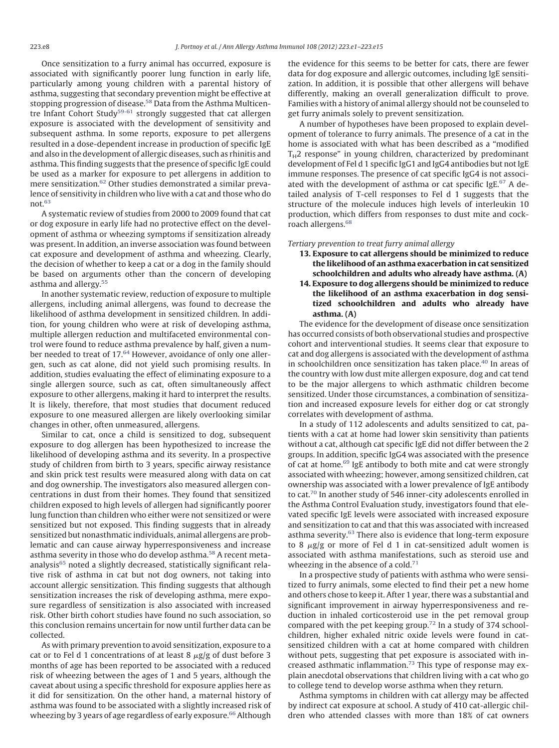Once sensitization to a furry animal has occurred, exposure is associated with significantly poorer lung function in early life, particularly among young children with a parental history of asthma, suggesting that secondary prevention might be effective at stopping progression of disease[.58](#page-13-24) Data from the Asthma Multicen-tre Infant Cohort Study<sup>[59-61](#page-13-25)</sup> strongly suggested that cat allergen exposure is associated with the development of sensitivity and subsequent asthma. In some reports, exposure to pet allergens resulted in a dose-dependent increase in production of specific IgE and also in the development of allergic diseases, such as rhinitis and asthma. This finding suggests that the presence of specific IgE could be used as a marker for exposure to pet allergens in addition to mere sensitization.[62](#page-13-26) Other studies demonstrated a similar prevalence of sensitivity in children who live with a cat and those who do not[.63](#page-13-27)

A systematic review of studies from 2000 to 2009 found that cat or dog exposure in early life had no protective effect on the development of asthma or wheezing symptoms if sensitization already was present. In addition, an inverse association was found between cat exposure and development of asthma and wheezing. Clearly, the decision of whether to keep a cat or a dog in the family should be based on arguments other than the concern of developing asthma and allergy.[55](#page-13-21)

In another systematic review, reduction of exposure to multiple allergens, including animal allergens, was found to decrease the likelihood of asthma development in sensitized children. In addition, for young children who were at risk of developing asthma, multiple allergen reduction and multifaceted environmental control were found to reduce asthma prevalence by half, given a number needed to treat of 17.<sup>64</sup> However, avoidance of only one allergen, such as cat alone, did not yield such promising results. In addition, studies evaluating the effect of eliminating exposure to a single allergen source, such as cat, often simultaneously affect exposure to other allergens, making it hard to interpret the results. It is likely, therefore, that most studies that document reduced exposure to one measured allergen are likely overlooking similar changes in other, often unmeasured, allergens.

Similar to cat, once a child is sensitized to dog, subsequent exposure to dog allergen has been hypothesized to increase the likelihood of developing asthma and its severity. In a prospective study of children from birth to 3 years, specific airway resistance and skin prick test results were measured along with data on cat and dog ownership. The investigators also measured allergen concentrations in dust from their homes. They found that sensitized children exposed to high levels of allergen had significantly poorer lung function than children who either were not sensitized or were sensitized but not exposed. This finding suggests that in already sensitized but nonasthmatic individuals, animal allergens are problematic and can cause airway hyperresponsiveness and increase asthma severity in those who do develop asthma.<sup>[58](#page-13-24)</sup> A recent metaanalysis<sup>65</sup> noted a slightly decreased, statistically significant relative risk of asthma in cat but not dog owners, not taking into account allergic sensitization. This finding suggests that although sensitization increases the risk of developing asthma, mere exposure regardless of sensitization is also associated with increased risk. Other birth cohort studies have found no such association, so this conclusion remains uncertain for now until further data can be collected.

As with primary prevention to avoid sensitization, exposure to a cat or to Fel d 1 concentrations of at least 8  $\mu$ g/g of dust before 3 months of age has been reported to be associated with a reduced risk of wheezing between the ages of 1 and 5 years, although the caveat about using a specific threshold for exposure applies here as it did for sensitization. On the other hand, a maternal history of asthma was found to be associated with a slightly increased risk of wheezing by 3 years of age regardless of early exposure.<sup>66</sup> Although

the evidence for this seems to be better for cats, there are fewer data for dog exposure and allergic outcomes, including IgE sensitization. In addition, it is possible that other allergens will behave differently, making an overall generalization difficult to prove. Families with a history of animal allergy should not be counseled to get furry animals solely to prevent sensitization.

A number of hypotheses have been proposed to explain development of tolerance to furry animals. The presence of a cat in the home is associated with what has been described as a "modified  $T_H2$  response" in young children, characterized by predominant development of Fel d 1 specific IgG1 and IgG4 antibodies but not IgE immune responses. The presence of cat specific IgG4 is not associated with the development of asthma or cat specific IgE. $67$  A detailed analysis of T-cell responses to Fel d 1 suggests that the structure of the molecule induces high levels of interleukin 10 production, which differs from responses to dust mite and cockroach allergens[.68](#page-13-32)

## *Tertiary prevention to treat furry animal allergy*

- **13. Exposure to cat allergens should be minimized to reduce the likelihood of an asthma exacerbation in cat sensitized schoolchildren and adults who already have asthma. (A)**
- **14. Exposure to dog allergens should be minimized to reduce the likelihood of an asthma exacerbation in dog sensitized schoolchildren and adults who already have asthma. (A)**

The evidence for the development of disease once sensitization has occurred consists of both observational studies and prospective cohort and interventional studies. It seems clear that exposure to cat and dog allergens is associated with the development of asthma in schoolchildren once sensitization has taken place.<sup>[40](#page-13-11)</sup> In areas of the country with low dust mite allergen exposure, dog and cat tend to be the major allergens to which asthmatic children become sensitized. Under those circumstances, a combination of sensitization and increased exposure levels for either dog or cat strongly correlates with development of asthma.

In a study of 112 adolescents and adults sensitized to cat, patients with a cat at home had lower skin sensitivity than patients without a cat, although cat specific IgE did not differ between the 2 groups. In addition, specific IgG4 was associated with the presence of cat at home[.69](#page-13-33) IgE antibody to both mite and cat were strongly associated with wheezing; however, among sensitized children, cat ownership was associated with a lower prevalence of IgE antibody to cat.<sup>70</sup> In another study of 546 inner-city adolescents enrolled in the Asthma Control Evaluation study, investigators found that elevated specific IgE levels were associated with increased exposure and sensitization to cat and that this was associated with increased asthma severity.<sup>63</sup> There also is evidence that long-term exposure to 8  $\mu$ g/g or more of Fel d 1 in cat-sensitized adult women is associated with asthma manifestations, such as steroid use and wheezing in the absence of a cold. $71$ 

In a prospective study of patients with asthma who were sensitized to furry animals, some elected to find their pet a new home and others chose to keep it. After 1 year, there was a substantial and significant improvement in airway hyperresponsiveness and reduction in inhaled corticosteroid use in the pet removal group compared with the pet keeping group.<sup>[72](#page-13-36)</sup> In a study of 374 schoolchildren, higher exhaled nitric oxide levels were found in catsensitized children with a cat at home compared with children without pets, suggesting that pet exposure is associated with in-creased asthmatic inflammation.<sup>[73](#page-13-37)</sup> This type of response may explain anecdotal observations that children living with a cat who go to college tend to develop worse asthma when they return.

Asthma symptoms in children with cat allergy may be affected by indirect cat exposure at school. A study of 410 cat-allergic children who attended classes with more than 18% of cat owners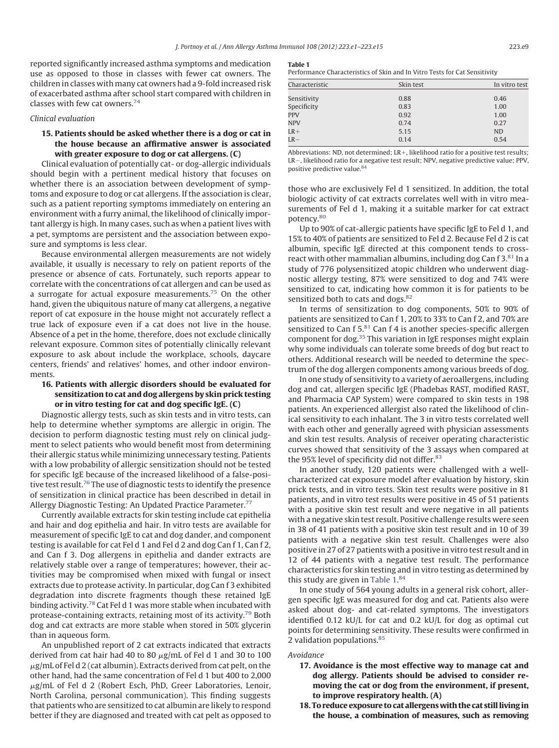reported significantly increased asthma symptoms and medication use as opposed to those in classes with fewer cat owners. The children in classes with many cat owners had a 9-fold increased risk of exacerbated asthma after school start compared with children in classes with few cat owners[.74](#page-13-38)

### *Clinical evaluation*

## **15. Patients should be asked whether there is a dog or cat in the house because an affirmative answer is associated with greater exposure to dog or cat allergens. (C)**

Clinical evaluation of potentially cat- or dog-allergic individuals should begin with a pertinent medical history that focuses on whether there is an association between development of symptoms and exposure to dog or cat allergens. If the association is clear, such as a patient reporting symptoms immediately on entering an environment with a furry animal, the likelihood of clinically important allergy is high. In many cases, such as when a patient lives with a pet, symptoms are persistent and the association between exposure and symptoms is less clear.

Because environmental allergen measurements are not widely available, it usually is necessary to rely on patient reports of the presence or absence of cats. Fortunately, such reports appear to correlate with the concentrations of cat allergen and can be used as a surrogate for actual exposure measurements.<sup>[75](#page-13-39)</sup> On the other hand, given the ubiquitous nature of many cat allergens, a negative report of cat exposure in the house might not accurately reflect a true lack of exposure even if a cat does not live in the house. Absence of a pet in the home, therefore, does not exclude clinically relevant exposure. Common sites of potentially clinically relevant exposure to ask about include the workplace, schools, daycare centers, friends' and relatives' homes, and other indoor environments.

## **16. Patients with allergic disorders should be evaluated for sensitization to cat and dog allergens by skin prick testing or in vitro testing for cat and dog specific IgE. (C)**

Diagnostic allergy tests, such as skin tests and in vitro tests, can help to determine whether symptoms are allergic in origin. The decision to perform diagnostic testing must rely on clinical judgment to select patients who would benefit most from determining their allergic status while minimizing unnecessary testing. Patients with a low probability of allergic sensitization should not be tested for specific IgE because of the increased likelihood of a false-posi-tive test result.<sup>[76](#page-13-40)</sup> The use of diagnostic tests to identify the presence of sensitization in clinical practice has been described in detail in Allergy Diagnostic Testing: An Updated Practice Parameter.<sup>77</sup>

Currently available extracts for skin testing include cat epithelia and hair and dog epithelia and hair. In vitro tests are available for measurement of specific IgE to cat and dog dander, and component testing is available for cat Fel d 1 and Fel d 2 and dog Can f 1, Can f 2, and Can f 3. Dog allergens in epithelia and dander extracts are relatively stable over a range of temperatures; however, their activities may be compromised when mixed with fungal or insect extracts due to protease activity. In particular, dog Can f 3 exhibited degradation into discrete fragments though these retained IgE binding activity.<sup>[78](#page-13-42)</sup> Cat Fel d 1 was more stable when incubated with protease-containing extracts, retaining most of its activity.[79](#page-13-43) Both dog and cat extracts are more stable when stored in 50% glycerin than in aqueous form.

An unpublished report of 2 cat extracts indicated that extracts derived from cat hair had 40 to 80  $\mu$ g/mL of Fel d 1 and 30 to 100  $\mu$ g/mL of Fel d 2 (cat albumin). Extracts derived from cat pelt, on the other hand, had the same concentration of Fel d 1 but 400 to 2,000  $\mu$ g/mL of Fel d 2 (Robert Esch, PhD, Greer Laboratories, Lenoir, North Carolina, personal communication). This finding suggests that patients who are sensitized to cat albumin are likely to respond better if they are diagnosed and treated with cat pelt as opposed to

#### <span id="page-8-0"></span>**Table 1**

Performance Characteristics of Skin and In Vitro Tests for Cat Sensitivity

| Characteristic | Skin test | In vitro test |
|----------------|-----------|---------------|
| Sensitivity    | 0.88      | 0.46          |
|                |           |               |
| Specificity    | 0.83      | 1.00          |
| <b>PPV</b>     | 0.92      | 1.00          |
| <b>NPV</b>     | 0.74      | 0.27          |
| $LR+$          | 5.15      | <b>ND</b>     |
| $LR -$         | 0.14      | 0.54          |

Abbreviations: ND, not determined;  $LR+$ , likelihood ratio for a positive test results; LR-, likelihood ratio for a negative test result; NPV, negative predictive value; PPV, positive predictive value.<sup>84</sup>

those who are exclusively Fel d 1 sensitized. In addition, the total biologic activity of cat extracts correlates well with in vitro measurements of Fel d 1, making it a suitable marker for cat extract potency.<sup>80</sup>

Up to 90% of cat-allergic patients have specific IgE to Fel d 1, and 15% to 40% of patients are sensitized to Fel d 2. Because Fel d 2 is cat albumin, specific IgE directed at this component tends to crossreact with other mammalian albumins, including dog Can  $f3$ .<sup>[81](#page-13-45)</sup> In a study of 776 polysensitized atopic children who underwent diagnostic allergy testing, 87% were sensitized to dog and 74% were sensitized to cat, indicating how common it is for patients to be sensitized both to cats and dogs. $82$ 

In terms of sensitization to dog components, 50% to 90% of patients are sensitized to Can f 1, 20% to 33% to Can f 2, and 70% are sensitized to Can  $f 5$ .<sup>81</sup> Can  $f 4$  is another species-specific allergen component for dog.<sup>[35](#page-13-6)</sup> This variation in IgE responses might explain why some individuals can tolerate some breeds of dog but react to others. Additional research will be needed to determine the spectrum of the dog allergen components among various breeds of dog.

In one study of sensitivity to a variety of aeroallergens, including dog and cat, allergen specific IgE (Phadebas RAST, modified RAST, and Pharmacia CAP System) were compared to skin tests in 198 patients. An experienced allergist also rated the likelihood of clinical sensitivity to each inhalant. The 3 in vitro tests correlated well with each other and generally agreed with physician assessments and skin test results. Analysis of receiver operating characteristic curves showed that sensitivity of the 3 assays when compared at the 95% level of specificity did not differ.<sup>83</sup>

In another study, 120 patients were challenged with a wellcharacterized cat exposure model after evaluation by history, skin prick tests, and in vitro tests. Skin test results were positive in 81 patients, and in vitro test results were positive in 45 of 51 patients with a positive skin test result and were negative in all patients with a negative skin test result. Positive challenge results were seen in 38 of 41 patients with a positive skin test result and in 10 of 39 patients with a negative skin test result. Challenges were also positive in 27 of 27 patients with a positive in vitro test result and in 12 of 44 patients with a negative test result. The performance characteristics for skin testing and in vitro testing as determined by this study are given in [Table 1.](#page-8-0)<sup>[84](#page-13-48)</sup>

In one study of 564 young adults in a general risk cohort, allergen specific IgE was measured for dog and cat. Patients also were asked about dog- and cat-related symptoms. The investigators identified 0.12 kU/L for cat and 0.2 kU/L for dog as optimal cut points for determining sensitivity. These results were confirmed in 2 validation populations.[85](#page-13-49)

## *Avoidance*

- **17. Avoidance is the most effective way to manage cat and dog allergy. Patients should be advised to consider removing the cat or dog from the environment, if present, to improve respiratory health. (A)**
- **18. To reduce exposure to cat allergenswith the cat still living in the house, a combination of measures, such as removing**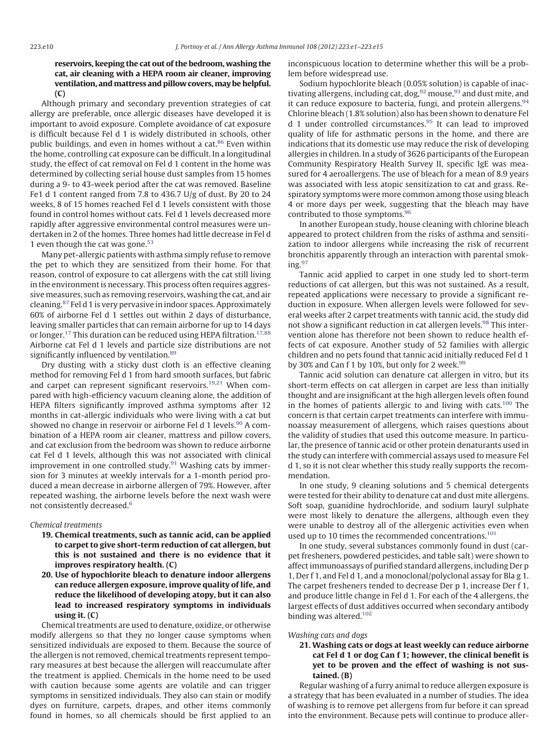# **reservoirs, keeping the cat out of the bedroom, washing the cat, air cleaning with a HEPA room air cleaner, improving ventilation, andmattress and pillow covers,may be helpful. (C)**

Although primary and secondary prevention strategies of cat allergy are preferable, once allergic diseases have developed it is important to avoid exposure. Complete avoidance of cat exposure is difficult because Fel d 1 is widely distributed in schools, other public buildings, and even in homes without a cat.<sup>86</sup> Even within the home, controlling cat exposure can be difficult. In a longitudinal study, the effect of cat removal on Fel d 1 content in the home was determined by collecting serial house dust samples from 15 homes during a 9- to 43-week period after the cat was removed. Baseline Fe1 d 1 content ranged from 7.8 to 436.7 U/g of dust. By 20 to 24 weeks, 8 of 15 homes reached Fel d 1 levels consistent with those found in control homes without cats. Fel d 1 levels decreased more rapidly after aggressive environmental control measures were undertaken in 2 of the homes. Three homes had little decrease in Fel d 1 even though the cat was gone. $53$ 

Many pet-allergic patients with asthma simply refuse to remove the pet to which they are sensitized from their home. For that reason, control of exposure to cat allergens with the cat still living in the environment is necessary. This process often requires aggressive measures, such as removing reservoirs, washing the cat, and air cleaning.[87](#page-14-0) Fel d 1 is very pervasive in indoor spaces. Approximately 60% of airborne Fel d 1 settles out within 2 days of disturbance, leaving smaller particles that can remain airborne for up to 14 days or longer.<sup>17</sup> This duration can be reduced using HEPA filtration.<sup>17,88</sup> Airborne cat Fel d 1 levels and particle size distributions are not significantly influenced by ventilation.<sup>89</sup>

Dry dusting with a sticky dust cloth is an effective cleaning method for removing Fel d 1 from hard smooth surfaces, but fabric and carpet can represent significant reservoirs.<sup>[19,21](#page-12-15)</sup> When compared with high-efficiency vacuum cleaning alone, the addition of HEPA filters significantly improved asthma symptoms after 12 months in cat-allergic individuals who were living with a cat but showed no change in reservoir or airborne Fel d 1 levels.<sup>[90](#page-14-2)</sup> A combination of a HEPA room air cleaner, mattress and pillow covers, and cat exclusion from the bedroom was shown to reduce airborne cat Fel d 1 levels, although this was not associated with clinical improvement in one controlled study. $91$  Washing cats by immersion for 3 minutes at weekly intervals for a 1-month period produced a mean decrease in airborne allergen of 79%. However, after repeated washing, the airborne levels before the next wash were not consistently decreased[.6](#page-12-4)

## *Chemical treatments*

- **19. Chemical treatments, such as tannic acid, can be applied to carpet to give short-term reduction of cat allergen, but this is not sustained and there is no evidence that it improves respiratory health. (C)**
- **20. Use of hypochlorite bleach to denature indoor allergens can reduce allergen exposure, improve quality of life, and reduce the likelihood of developing atopy, but it can also lead to increased respiratory symptoms in individuals using it. (C)**

Chemical treatments are used to denature, oxidize, or otherwise modify allergens so that they no longer cause symptoms when sensitized individuals are exposed to them. Because the source of the allergen is not removed, chemical treatments represent temporary measures at best because the allergen will reaccumulate after the treatment is applied. Chemicals in the home need to be used with caution because some agents are volatile and can trigger symptoms in sensitized individuals. They also can stain or modify dyes on furniture, carpets, drapes, and other items commonly found in homes, so all chemicals should be first applied to an

inconspicuous location to determine whether this will be a problem before widespread use.

Sodium hypochlorite bleach (0.05% solution) is capable of inactivating allergens, including cat,  $\log$ ,  $92$  mouse,  $93$  and dust mite, and it can reduce exposure to bacteria, fungi, and protein allergens. $94$ Chlorine bleach (1.8% solution) also has been shown to denature Fel d 1 under controlled circumstances.<sup>[95](#page-14-7)</sup> It can lead to improved quality of life for asthmatic persons in the home, and there are indications that its domestic use may reduce the risk of developing allergies in children. In a study of 3626 participants of the European Community Respiratory Health Survey II, specific IgE was measured for 4 aeroallergens. The use of bleach for a mean of 8.9 years was associated with less atopic sensitization to cat and grass. Respiratory symptoms were more common among those using bleach 4 or more days per week, suggesting that the bleach may have contributed to those symptoms.<sup>96</sup>

In another European study, house cleaning with chlorine bleach appeared to protect children from the risks of asthma and sensitization to indoor allergens while increasing the risk of recurrent bronchitis apparently through an interaction with parental smok- $ing.<sup>97</sup>$  $ing.<sup>97</sup>$  $ing.<sup>97</sup>$ 

Tannic acid applied to carpet in one study led to short-term reductions of cat allergen, but this was not sustained. As a result, repeated applications were necessary to provide a significant reduction in exposure. When allergen levels were followed for several weeks after 2 carpet treatments with tannic acid, the study did not show a significant reduction in cat allergen levels.<sup>98</sup> This intervention alone has therefore not been shown to reduce health effects of cat exposure. Another study of 52 families with allergic children and no pets found that tannic acid initially reduced Fel d 1 by 30% and Can f 1 by 10%, but only for 2 week. $99$ 

Tannic acid solution can denature cat allergen in vitro, but its short-term effects on cat allergen in carpet are less than initially thought and are insignificant at the high allergen levels often found in the homes of patients allergic to and living with cats.<sup>[100](#page-14-12)</sup> The concern is that certain carpet treatments can interfere with immunoassay measurement of allergens, which raises questions about the validity of studies that used this outcome measure. In particular, the presence of tannic acid or other protein denaturants used in the study can interfere with commercial assays used to measure Fel d 1, so it is not clear whether this study really supports the recommendation.

In one study, 9 cleaning solutions and 5 chemical detergents were tested for their ability to denature cat and dust mite allergens. Soft soap, guanidine hydrochloride, and sodium lauryl sulphate were most likely to denature the allergens, although even they were unable to destroy all of the allergenic activities even when used up to 10 times the recommended concentrations.<sup>101</sup>

In one study, several substances commonly found in dust (carpet fresheners, powdered pesticides, and table salt) were shown to affect immunoassays of purified standard allergens, including Der p 1, Der f 1, and Fel d 1, and a monoclonal/polyclonal assay for Bla g 1. The carpet fresheners tended to decrease Der p 1, increase Der f 1, and produce little change in Fel d 1. For each of the 4 allergens, the largest effects of dust additives occurred when secondary antibody binding was altered.<sup>[102](#page-14-14)</sup>

#### *Washing cats and dogs*

# **21. Washing cats or dogs at least weekly can reduce airborne cat Fel d 1 or dog Can f 1; however, the clinical benefit is yet to be proven and the effect of washing is not sustained. (B)**

Regular washing of a furry animal to reduce allergen exposure is a strategy that has been evaluated in a number of studies. The idea of washing is to remove pet allergens from fur before it can spread into the environment. Because pets will continue to produce aller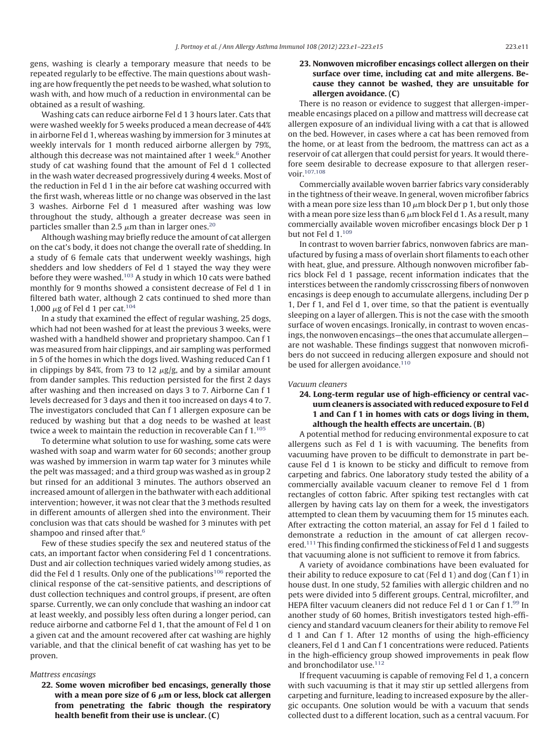gens, washing is clearly a temporary measure that needs to be repeated regularly to be effective. The main questions about washing are how frequently the pet needs to be washed, what solution to wash with, and how much of a reduction in environmental can be obtained as a result of washing.

Washing cats can reduce airborne Feld 13 hours later. Cats that were washed weekly for 5 weeks produced a mean decrease of 44% in airborne Fel d 1, whereas washing by immersion for 3 minutes at weekly intervals for 1 month reduced airborne allergen by 79%, although this decrease was not maintained after 1 week. $6$  Another study of cat washing found that the amount of Fel d 1 collected in the wash water decreased progressively during 4 weeks. Most of the reduction in Fel d 1 in the air before cat washing occurred with the first wash, whereas little or no change was observed in the last 3 washes. Airborne Fel d 1 measured after washing was low throughout the study, although a greater decrease was seen in particles smaller than 2.5  $\mu$ m than in larger ones.<sup>20</sup>

Although washing may briefly reduce the amount of cat allergen on the cat's body, it does not change the overall rate of shedding. In a study of 6 female cats that underwent weekly washings, high shedders and low shedders of Fel d 1 stayed the way they were before they were washed.<sup>[103](#page-14-15)</sup> A study in which 10 cats were bathed monthly for 9 months showed a consistent decrease of Fel d 1 in filtered bath water, although 2 cats continued to shed more than 1,000  $\mu$ g of Fel d 1 per cat.<sup>104</sup>

In a study that examined the effect of regular washing, 25 dogs, which had not been washed for at least the previous 3 weeks, were washed with a handheld shower and proprietary shampoo. Can f 1 was measured from hair clippings, and air sampling was performed in 5 of the homes in which the dogs lived. Washing reduced Can f 1 in clippings by 84%, from 73 to 12  $\mu$ g/g, and by a similar amount from dander samples. This reduction persisted for the first 2 days after washing and then increased on days 3 to 7. Airborne Can f 1 levels decreased for 3 days and then it too increased on days 4 to 7. The investigators concluded that Can f 1 allergen exposure can be reduced by washing but that a dog needs to be washed at least twice a week to maintain the reduction in recoverable Can f 1.<sup>105</sup>

To determine what solution to use for washing, some cats were washed with soap and warm water for 60 seconds; another group was washed by immersion in warm tap water for 3 minutes while the pelt was massaged; and a third group was washed as in group 2 but rinsed for an additional 3 minutes. The authors observed an increased amount of allergen in the bathwater with each additional intervention; however, it was not clear that the 3 methods resulted in different amounts of allergen shed into the environment. Their conclusion was that cats should be washed for 3 minutes with pet shampoo and rinsed after that.<sup>6</sup>

Few of these studies specify the sex and neutered status of the cats, an important factor when considering Fel d 1 concentrations. Dust and air collection techniques varied widely among studies, as did the Fel d 1 results. Only one of the publications<sup>[106](#page-14-18)</sup> reported the clinical response of the cat-sensitive patients, and descriptions of dust collection techniques and control groups, if present, are often sparse. Currently, we can only conclude that washing an indoor cat at least weekly, and possibly less often during a longer period, can reduce airborne and catborne Fel d 1, that the amount of Fel d 1 on a given cat and the amount recovered after cat washing are highly variable, and that the clinical benefit of cat washing has yet to be proven.

## *Mattress encasings*

**22. Some woven microfiber bed encasings, generally those with a mean pore size of 6 m or less, block cat allergen from penetrating the fabric though the respiratory health benefit from their use is unclear. (C)**

# **23. Nonwoven microfiber encasings collect allergen on their surface over time, including cat and mite allergens. Because they cannot be washed, they are unsuitable for allergen avoidance. (C)**

There is no reason or evidence to suggest that allergen-impermeable encasings placed on a pillow and mattress will decrease cat allergen exposure of an individual living with a cat that is allowed on the bed. However, in cases where a cat has been removed from the home, or at least from the bedroom, the mattress can act as a reservoir of cat allergen that could persist for years. It would therefore seem desirable to decrease exposure to that allergen reservoir.[107,108](#page-14-19)

Commercially available woven barrier fabrics vary considerably in the tightness of their weave. In general, woven microfiber fabrics with a mean pore size less than 10  $\mu$ m block Der p 1, but only those with a mean pore size less than 6  $\mu$ m block Fel d 1. As a result, many commercially available woven microfiber encasings block Der p 1 but not Fel d 1[.109](#page-14-20)

In contrast to woven barrier fabrics, nonwoven fabrics are manufactured by fusing a mass of overlain short filaments to each other with heat, glue, and pressure. Although nonwoven microfiber fabrics block Fel d 1 passage, recent information indicates that the interstices between the randomly crisscrossing fibers of nonwoven encasings is deep enough to accumulate allergens, including Der p 1, Der f 1, and Fel d 1, over time, so that the patient is eventually sleeping on a layer of allergen. This is not the case with the smooth surface of woven encasings. Ironically, in contrast to woven encasings, the nonwoven encasings—the ones that accumulate allergen are not washable. These findings suggest that nonwoven microfibers do not succeed in reducing allergen exposure and should not be used for allergen avoidance.<sup>110</sup>

#### *Vacuum cleaners*

# **24. Long-term regular use of high-efficiency or central vacuum cleaners is associated with reduced exposure to Fel d 1 and Can f 1 in homes with cats or dogs living in them, although the health effects are uncertain. (B)**

A potential method for reducing environmental exposure to cat allergens such as Fel d 1 is with vacuuming. The benefits from vacuuming have proven to be difficult to demonstrate in part because Fel d 1 is known to be sticky and difficult to remove from carpeting and fabrics. One laboratory study tested the ability of a commercially available vacuum cleaner to remove Fel d 1 from rectangles of cotton fabric. After spiking test rectangles with cat allergen by having cats lay on them for a week, the investigators attempted to clean them by vacuuming them for 15 minutes each. After extracting the cotton material, an assay for Fel d 1 failed to demonstrate a reduction in the amount of cat allergen recovered.<sup>111</sup> This finding confirmed the stickiness of Feld 1 and suggests that vacuuming alone is not sufficient to remove it from fabrics.

A variety of avoidance combinations have been evaluated for their ability to reduce exposure to cat (Fel d 1) and dog (Can f 1) in house dust. In one study, 52 families with allergic children and no pets were divided into 5 different groups. Central, microfilter, and HEPA filter vacuum cleaners did not reduce Fel d 1 or Can f 1.<sup>[99](#page-14-11)</sup> In another study of 60 homes, British investigators tested high-efficiency and standard vacuum cleaners for their ability to remove Fel d 1 and Can f 1. After 12 months of using the high-efficiency cleaners, Fel d 1 and Can f 1 concentrations were reduced. Patients in the high-efficiency group showed improvements in peak flow and bronchodilator use.<sup>112</sup>

If frequent vacuuming is capable of removing Fel d 1, a concern with such vacuuming is that it may stir up settled allergens from carpeting and furniture, leading to increased exposure by the allergic occupants. One solution would be with a vacuum that sends collected dust to a different location, such as a central vacuum. For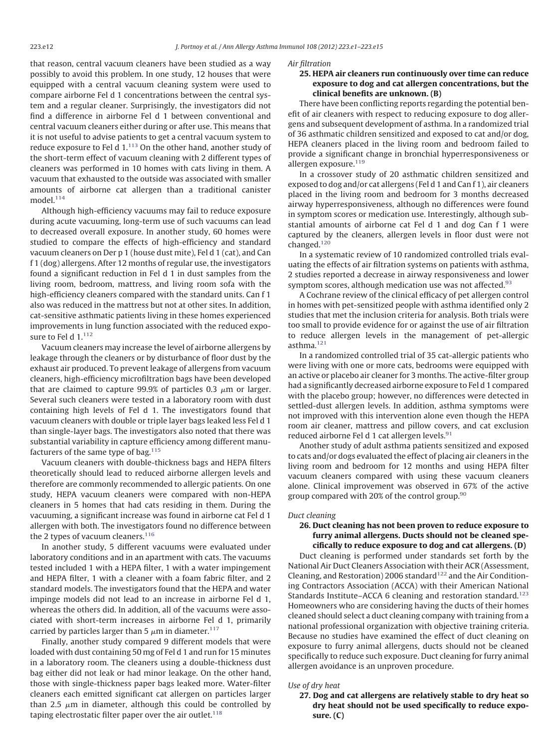that reason, central vacuum cleaners have been studied as a way possibly to avoid this problem. In one study, 12 houses that were equipped with a central vacuum cleaning system were used to compare airborne Fel d 1 concentrations between the central system and a regular cleaner. Surprisingly, the investigators did not find a difference in airborne Fel d 1 between conventional and central vacuum cleaners either during or after use. This means that it is not useful to advise patients to get a central vacuum system to reduce exposure to Fel d 1.<sup>[113](#page-14-24)</sup> On the other hand, another study of the short-term effect of vacuum cleaning with 2 different types of cleaners was performed in 10 homes with cats living in them. A vacuum that exhausted to the outside was associated with smaller amounts of airborne cat allergen than a traditional canister model. $114$ 

Although high-efficiency vacuums may fail to reduce exposure during acute vacuuming, long-term use of such vacuums can lead to decreased overall exposure. In another study, 60 homes were studied to compare the effects of high-efficiency and standard vacuum cleaners on Der p 1 (house dust mite), Fel d 1 (cat), and Can f 1 (dog) allergens. After 12 months of regular use, the investigators found a significant reduction in Fel d 1 in dust samples from the living room, bedroom, mattress, and living room sofa with the high-efficiency cleaners compared with the standard units. Can f 1 also was reduced in the mattress but not at other sites. In addition, cat-sensitive asthmatic patients living in these homes experienced improvements in lung function associated with the reduced exposure to Fel d 1.<sup>112</sup>

Vacuum cleaners may increase the level of airborne allergens by leakage through the cleaners or by disturbance of floor dust by the exhaust air produced. To prevent leakage of allergens from vacuum cleaners, high-efficiency microfiltration bags have been developed that are claimed to capture 99.9% of particles 0.3  $\mu$ m or larger. Several such cleaners were tested in a laboratory room with dust containing high levels of Fel d 1. The investigators found that vacuum cleaners with double or triple layer bags leaked less Fel d 1 than single-layer bags. The investigators also noted that there was substantial variability in capture efficiency among different manufacturers of the same type of bag.<sup>115</sup>

Vacuum cleaners with double-thickness bags and HEPA filters theoretically should lead to reduced airborne allergen levels and therefore are commonly recommended to allergic patients. On one study, HEPA vacuum cleaners were compared with non-HEPA cleaners in 5 homes that had cats residing in them. During the vacuuming, a significant increase was found in airborne cat Fel d 1 allergen with both. The investigators found no difference between the 2 types of vacuum cleaners.<sup>116</sup>

In another study, 5 different vacuums were evaluated under laboratory conditions and in an apartment with cats. The vacuums tested included 1 with a HEPA filter, 1 with a water impingement and HEPA filter, 1 with a cleaner with a foam fabric filter, and 2 standard models. The investigators found that the HEPA and water impinge models did not lead to an increase in airborne Fel d 1, whereas the others did. In addition, all of the vacuums were associated with short-term increases in airborne Fel d 1, primarily carried by particles larger than 5  $\mu$ m in diameter.<sup>117</sup>

Finally, another study compared 9 different models that were loaded with dust containing 50 mg of Fel d 1 and run for 15 minutes in a laboratory room. The cleaners using a double-thickness dust bag either did not leak or had minor leakage. On the other hand, those with single-thickness paper bags leaked more. Water-filter cleaners each emitted significant cat allergen on particles larger than 2.5  $\mu$ m in diameter, although this could be controlled by taping electrostatic filter paper over the air outlet.<sup>118</sup>

#### *Air filtration*

# **25. HEPA air cleaners run continuously over time can reduce exposure to dog and cat allergen concentrations, but the clinical benefits are unknown. (B)**

There have been conflicting reports regarding the potential benefit of air cleaners with respect to reducing exposure to dog allergens and subsequent development of asthma. In a randomized trial of 36 asthmatic children sensitized and exposed to cat and/or dog, HEPA cleaners placed in the living room and bedroom failed to provide a significant change in bronchial hyperresponsiveness or allergen exposure. $119$ 

In a crossover study of 20 asthmatic children sensitized and exposed to dog and/or cat allergens (Fel d 1 and Can f 1), air cleaners placed in the living room and bedroom for 3 months decreased airway hyperresponsiveness, although no differences were found in symptom scores or medication use. Interestingly, although substantial amounts of airborne cat Fel d 1 and dog Can f 1 were captured by the cleaners, allergen levels in floor dust were not changed.[120](#page-14-31)

In a systematic review of 10 randomized controlled trials evaluating the effects of air filtration systems on patients with asthma, 2 studies reported a decrease in airway responsiveness and lower symptom scores, although medication use was not affected.<sup>93</sup>

A Cochrane review of the clinical efficacy of pet allergen control in homes with pet-sensitized people with asthma identified only 2 studies that met the inclusion criteria for analysis. Both trials were too small to provide evidence for or against the use of air filtration to reduce allergen levels in the management of pet-allergic asthma.[121](#page-14-32)

In a randomized controlled trial of 35 cat-allergic patients who were living with one or more cats, bedrooms were equipped with an active or placebo air cleaner for 3 months. The active-filter group had a significantly decreased airborne exposure to Fel d 1 compared with the placebo group; however, no differences were detected in settled-dust allergen levels. In addition, asthma symptoms were not improved with this intervention alone even though the HEPA room air cleaner, mattress and pillow covers, and cat exclusion reduced airborne Fel d 1 cat allergen levels.<sup>91</sup>

Another study of adult asthma patients sensitized and exposed to cats and/or dogs evaluated the effect of placing air cleaners in the living room and bedroom for 12 months and using HEPA filter vacuum cleaners compared with using these vacuum cleaners alone. Clinical improvement was observed in 67% of the active group compared with 20% of the control group[.90](#page-14-2)

#### *Duct cleaning*

## **26. Duct cleaning has not been proven to reduce exposure to furry animal allergens. Ducts should not be cleaned specifically to reduce exposure to dog and cat allergens. (D)**

Duct cleaning is performed under standards set forth by the National Air Duct Cleaners Association with their ACR (Assessment, Cleaning, and Restoration) 2006 standard<sup>[122](#page-14-33)</sup> and the Air Conditioning Contractors Association (ACCA) with their American National Standards Institute-ACCA 6 cleaning and restoration standard.<sup>[123](#page-14-34)</sup> Homeowners who are considering having the ducts of their homes cleaned should select a duct cleaning company with training from a national professional organization with objective training criteria. Because no studies have examined the effect of duct cleaning on exposure to furry animal allergens, ducts should not be cleaned specifically to reduce such exposure. Duct cleaning for furry animal allergen avoidance is an unproven procedure.

## *Use of dry heat*

**27. Dog and cat allergens are relatively stable to dry heat so dry heat should not be used specifically to reduce exposure. (C)**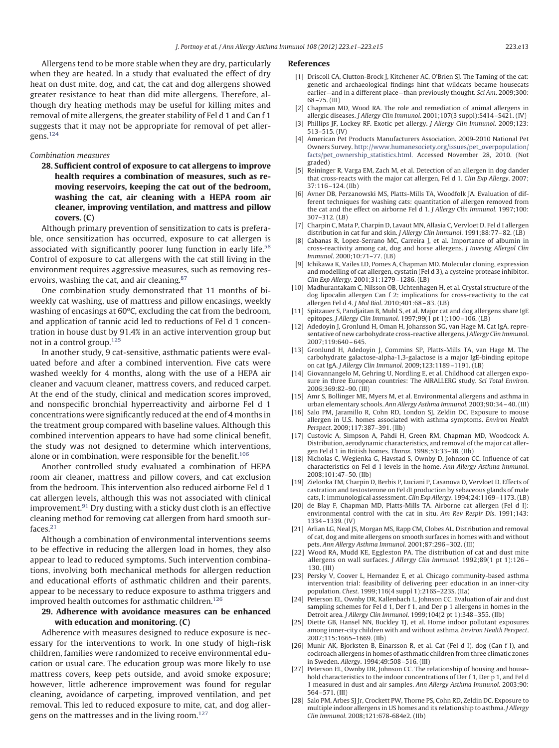Allergens tend to be more stable when they are dry, particularly when they are heated. In a study that evaluated the effect of dry heat on dust mite, dog, and cat, the cat and dog allergens showed greater resistance to heat than did mite allergens. Therefore, although dry heating methods may be useful for killing mites and removal of mite allergens, the greater stability of Fel d 1 and Can f 1 suggests that it may not be appropriate for removal of pet allergens.[124](#page-14-35)

## *Combination measures*

**28. Sufficient control of exposure to cat allergens to improve health requires a combination of measures, such as removing reservoirs, keeping the cat out of the bedroom, washing the cat, air cleaning with a HEPA room air cleaner, improving ventilation, and mattress and pillow covers. (C)**

Although primary prevention of sensitization to cats is preferable, once sensitization has occurred, exposure to cat allergen is associated with significantly poorer lung function in early life.<sup>[58](#page-13-24)</sup> Control of exposure to cat allergens with the cat still living in the environment requires aggressive measures, such as removing reservoirs, washing the cat, and air cleaning[.87](#page-14-0)

One combination study demonstrated that 11 months of biweekly cat washing, use of mattress and pillow encasings, weekly washing of encasings at 60°C, excluding the cat from the bedroom, and application of tannic acid led to reductions of Fel d 1 concentration in house dust by 91.4% in an active intervention group but not in a control group[.125](#page-14-36)

In another study, 9 cat-sensitive, asthmatic patients were evaluated before and after a combined intervention. Five cats were washed weekly for 4 months, along with the use of a HEPA air cleaner and vacuum cleaner, mattress covers, and reduced carpet. At the end of the study, clinical and medication scores improved, and nonspecific bronchial hyperreactivity and airborne Fel d 1 concentrations were significantly reduced at the end of 4 months in the treatment group compared with baseline values. Although this combined intervention appears to have had some clinical benefit, the study was not designed to determine which interventions, alone or in combination, were responsible for the benefit.<sup>106</sup>

Another controlled study evaluated a combination of HEPA room air cleaner, mattress and pillow covers, and cat exclusion from the bedroom. This intervention also reduced airborne Fel d 1 cat allergen levels, although this was not associated with clinical improvement. $91$  Dry dusting with a sticky dust cloth is an effective cleaning method for removing cat allergen from hard smooth surfaces.[21](#page-12-18)

Although a combination of environmental interventions seems to be effective in reducing the allergen load in homes, they also appear to lead to reduced symptoms. Such intervention combinations, involving both mechanical methods for allergen reduction and educational efforts of asthmatic children and their parents, appear to be necessary to reduce exposure to asthma triggers and improved health outcomes for asthmatic children.<sup>126</sup>

# **29. Adherence with avoidance measures can be enhanced with education and monitoring. (C)**

Adherence with measures designed to reduce exposure is necessary for the interventions to work. In one study of high-risk children, families were randomized to receive environmental education or usual care. The education group was more likely to use mattress covers, keep pets outside, and avoid smoke exposure; however, little adherence improvement was found for regular cleaning, avoidance of carpeting, improved ventilation, and pet removal. This led to reduced exposure to mite, cat, and dog allergens on the mattresses and in the living room.<sup>127</sup>

#### <span id="page-12-0"></span>**References**

- [1] Driscoll CA, Clutton-Brock J, Kitchener AC, O'Brien SJ. The Taming of the cat: genetic and archaeological findings hint that wildcats became housecats earlier—and in a different place—than previously thought. *Sci Am*. 2009;300: 68 –75. (III)
- <span id="page-12-1"></span>[2] Chapman MD, Wood RA. The role and remediation of animal allergens in allergic diseases. *J Allergy Clin Immunol*. 2001;107(3 suppl):S414 –S421. (IV)
- [3] Phillips JF, Lockey RF. Exotic pet allergy. *J Allergy Clin Immunol*. 2009;123: 513–515. (IV)
- <span id="page-12-2"></span>[4] American Pet Products Manufacturers Association. 2009-2010 National Pet Owners Survey. [http://www.humanesociety.org/issues/pet\\_overpopulation/](http://www.humanesociety.org/issues/pet_overpopulation/facts/pet_ownership_statistics.html) [facts/pet\\_ownership\\_statistics.html.](http://www.humanesociety.org/issues/pet_overpopulation/facts/pet_ownership_statistics.html) Accessed November 28, 2010. (Not graded)
- <span id="page-12-3"></span>[5] Reininger R, Varga EM, Zach M, et al. Detection of an allergen in dog dander that cross-reacts with the major cat allergen, Fel d 1. *Clin Exp Allergy*. 2007; 37:116 –124. (IIb)
- <span id="page-12-4"></span>[6] Avner DB, Perzanowski MS, Platts-Mills TA, Woodfolk JA. Evaluation of different techniques for washing cats: quantitation of allergen removed from the cat and the effect on airborne Fel d 1. *J Allergy Clin Immunol*. 1997;100: 307–312. (LB)
- <span id="page-12-5"></span>[7] Charpin C, Mata P, Charpin D, Lavaut MN, Allasia C, Vervloet D. Fel d I allergen distribution in cat fur and skin. *J Allergy Clin Immunol*. 1991;88:77– 82. (LB)
- <span id="page-12-6"></span>[8] Cabanas R, Lopez-Serrano MC, Carreira J, et al. Importance of albumin in cross-reactivity among cat, dog and horse allergens. *J Investig Allergol Clin Immunol*. 2000;10:71–77. (LB)
- <span id="page-12-7"></span>[9] Ichikawa K, Vailes LD, Pomes A, Chapman MD. Molecular cloning, expression and modelling of cat allergen, cystatin (Fel d 3), a cysteine protease inhibitor. *Clin Exp Allergy*. 2001;31:1279 –1286. (LB)
- <span id="page-12-8"></span>[10] Madhurantakam C, Nilsson OB, Uchtenhagen H, et al. Crystal structure of the dog lipocalin allergen Can f 2: implications for cross-reactivity to the cat allergen Fel d 4. *J Mol Biol*. 2010;401:68 – 83. (LB)
- <span id="page-12-10"></span><span id="page-12-9"></span>[11] Spitzauer S, Pandjaitan B, Muhl S, et al. Major cat and dog allergens share IgE epitopes. *J Allergy Clin Immunol*. 1997;99(1 pt 1):100 –106. (LB)
- [12] Adedoyin J, Gronlund H, Oman H, Johansson SG, van Hage M. Cat IgA, representative of new carbohydrate cross-reactive allergens. *J Allergy Clin Immunol*. 2007;119:640 – 645.
- <span id="page-12-11"></span>[13] Gronlund H, Adedoyin J, Commins SP, Platts-Mills TA, van Hage M. The carbohydrate galactose-alpha-1,3-galactose is a major IgE-binding epitope on cat IgA. *J Allergy Clin Immunol*. 2009;123:1189 –1191. (LB)
- <span id="page-12-12"></span>[14] Giovannangelo M, Gehring U, Nordling E, et al. Childhood cat allergen exposure in three European countries: The AIRALLERG study. *Sci Total Environ*. 2006;369:82–90. (III)
- <span id="page-12-13"></span>[15] Amr S, Bollinger ME, Myers M, et al. Environmental allergens and asthma in urban elementary schools. *Ann Allergy Asthma Immunol*. 2003;90:34 – 40. (III)
- [16] Salo PM, Jaramillo R, Cohn RD, London SJ, Zeldin DC. Exposure to mouse allergen in U.S. homes associated with asthma symptoms. *Environ Health Perspect*. 2009;117:387–391. (IIb)
- <span id="page-12-17"></span><span id="page-12-14"></span>[17] Custovic A, Simpson A, Pahdi H, Green RM, Chapman MD, Woodcock A. Distribution, aerodynamic characteristics, and removal of the major cat allergen Fel d 1 in British homes. *Thorax*. 1998;53:33–38. (IIb)
- <span id="page-12-15"></span>[18] Nicholas C, Wegienka G, Havstad S, Ownby D, Johnson CC. Influence of cat characteristics on Fel d 1 levels in the home. *Ann Allergy Asthma Immunol*. 2008;101:47–50. (IIb)
- [19] Zielonka TM, Charpin D, Berbis P, Luciani P, Casanova D, Vervloet D. Effects of castration and testosterone on Fel dI production by sebaceous glands of male cats, I: immunological assessment. *Clin Exp Allergy*. 1994;24:1169 –1173. (LB)
- <span id="page-12-18"></span><span id="page-12-16"></span>[20] de Blay F, Chapman MD, Platts-Mills TA. Airborne cat allergen (Fel d I): environmental control with the cat in situ. *Am Rev Respir Dis*. 1991;143: 1334 –1339. (IV)
- <span id="page-12-19"></span>[21] Arlian LG, Neal JS, Morgan MS, Rapp CM, Clobes AL, Distribution and removal of cat, dog and mite allergens on smooth surfaces in homes with and without pets. *Ann Allergy Asthma Immunol*. 2001;87:296 –302. (III)
- <span id="page-12-20"></span>[22] Wood RA, Mudd KE, Eggleston PA. The distribution of cat and dust mite allergens on wall surfaces. *J Allergy Clin Immunol*. 1992;89(1 pt 1):126 – 130. (III)
- [23] Persky V, Coover L, Hernandez E, et al. Chicago community-based asthma intervention trial: feasibility of delivering peer education in an inner-city population. *Chest*. 1999;116(4 suppl 1):216S–223S. (IIa)
- <span id="page-12-22"></span><span id="page-12-21"></span>[24] Peterson EL, Ownby DR, Kallenbach L, Johnson CC. Evaluation of air and dust sampling schemes for Fel d 1, Der f 1, and Der p 1 allergens in homes in the Detroit area. *J Allergy Clin Immunol*. 1999;104(2 pt 1):348 –355. (IIb)
- <span id="page-12-23"></span>[25] Diette GB, Hansel NN, Buckley TJ, et al. Home indoor pollutant exposures among inner-city children with and without asthma. *Environ Health Perspect*. 2007;115:1665–1669. (IIb)
- <span id="page-12-24"></span>[26] Munir AK, Bjorksten B, Einarsson R, et al. Cat (Fel d I), dog (Can f I), and cockroach allergens in homes of asthmatic children from three climatic zones in Sweden. *Allergy*. 1994;49:508 –516. (III)
- [27] Peterson EL, Ownby DR, Johnson CC. The relationship of housing and household characteristics to the indoor concentrations of Der f 1, Der p 1, and Fel d 1 measured in dust and air samples. *Ann Allergy Asthma Immunol*. 2003;90: 564 –571. (III)
- <span id="page-12-25"></span>[28] Salo PM, Arbes SJ Jr, Crockett PW, Thorne PS, Cohn RD, Zeldin DC. Exposure to multiple indoor allergens in US homes and its relationship to asthma. *J Allergy Clin Immunol*. 2008;121:678-684e2. (IIb)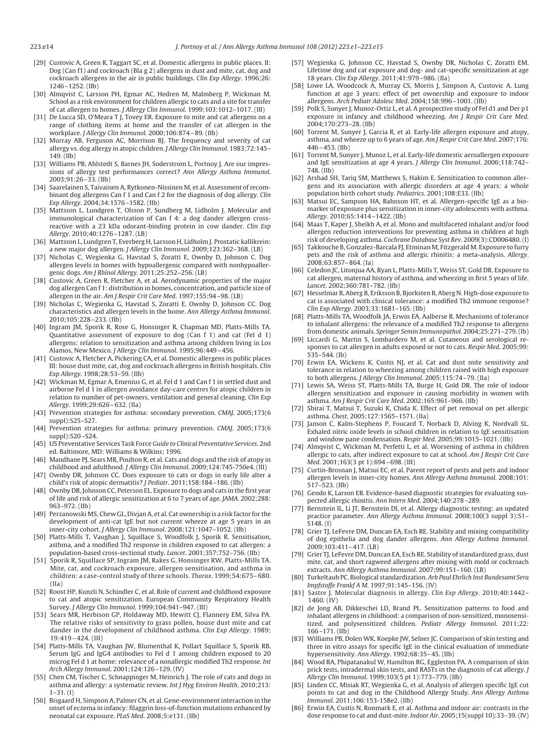- <span id="page-13-0"></span>[29] Custovic A, Green R, Taggart SC, et al. Domestic allergens in public places. II: Dog (Can f1) and cockroach (Bla g 2) allergens in dust and mite, cat, dog and cockroach allergens in the air in public buildings. *Clin Exp Allergy*. 1996;26: 1246 –1252. (IIb)
- <span id="page-13-1"></span>[30] Almqvist C, Larsson PH, Egmar AC, Hedren M, Malmberg P, Wickman M. School as a risk environment for children allergic to cats and a site for transfer of cat allergen to homes. *J Allergy Clin Immunol*. 1999;103:1012–1017. (III)
- <span id="page-13-2"></span>[31] De Lucca SD, O'Meara T J, Tovey ER. Exposure to mite and cat allergens on a range of clothing items at home and the transfer of cat allergen in the workplace. *J Allergy Clin Immunol*. 2000;106:874 – 89. (IIb)
- <span id="page-13-3"></span>[32] Murray AB, Ferguson AC, Morrison BJ. The frequency and severity of cat allergy vs. dog allergy in atopic children. *J Allergy Clin Immunol*. 1983;72:145– 149. (IIb)
- <span id="page-13-4"></span>[33] Williams PB, Ahlstedt S, Barnes JH, Soderstrom L, Portnoy J. Are our impressions of allergy test performances correct? *Ann Allergy Asthma Immunol*. 2003;91:26 –33. (IIb)
- <span id="page-13-5"></span>[34] Saarelainen S, Taivainen A, Rytkonen-Nissinen M, et al. Assessment of recombinant dog allergens Can f 1 and Can f 2 for the diagnosis of dog allergy. *Clin Exp Allergy*. 2004;34:1576 –1582. (IIb)
- <span id="page-13-6"></span>[35] Mattsson L, Lundgren T, Olsson P, Sundberg M, Lidholm J. Molecular and immunological characterization of Can f 4: a dog dander allergen crossreactive with a 23 kDa odorant-binding protein in cow dander. *Clin Exp Allergy*. 2010;40:1276 –1287. (LB)
- <span id="page-13-8"></span><span id="page-13-7"></span>[36] Mattsson L, Lundgren T, Everberg H, Larsson H, Lidholm J. Prostatic kallikrein: a new major dog allergen. *J Allergy Clin Immunol*. 2009;123:362–368. (LB)
- [37] Nicholas C, Wegienka G, Havstad S, Zoratti E, Ownby D, Johnson C. Dog allergen levels in homes with hypoallergenic compared with nonhypoallergenic dogs. *Am J Rhinol Allergy*. 2011;25:252–256. (LB)
- <span id="page-13-9"></span>[38] Custovic A, Green R, Fletcher A, et al. Aerodynamic properties of the major dog allergen Can f 1: distribution in homes, concentration, and particle size of allergen in the air. *Am J Respir Crit Care Med*. 1997;155:94 –98. (LB)
- <span id="page-13-10"></span>[39] Nicholas C, Wegienka G, Havstad S, Zoratti E, Ownby D, Johnson CC, Dog characteristics and allergen levels in the home. *Ann Allergy Asthma Immunol*. 2010;105:228 –233. (IIb)
- <span id="page-13-11"></span>[40] Ingram JM, Sporik R, Rose G, Honsinger R, Chapman MD, Platts-Mills TA. Quantitative assessment of exposure to dog (Can f 1) and cat (Fel d 1) allergens: relation to sensitization and asthma among children living in Los Alamos, New Mexico. *J Allergy Clin Immunol*. 1995;96:449 – 456.
- <span id="page-13-12"></span>[41] Custovic A, Fletcher A, Pickering CA, et al. Domestic allergens in public places III: house dust mite, cat, dog and cockroach allergens in British hospitals. *Clin Exp Allergy*. 1998;28:53–59. (IIb)
- <span id="page-13-13"></span>[42] Wickman M, Egmar A, Emenius G, et al. Fel d 1 and Can f 1 in settled dust and airborne Fel d 1 in allergen avoidance day-care centres for atopic children in relation to number of pet-owners, ventilation and general cleaning. *Clin Exp Allergy*. 1999;29:626 – 632. (IIa)
- <span id="page-13-14"></span>[43] Prevention strategies for asthma: secondary prevention. *CMAJ*. 2005;173(6 suppl):S25–S27.
- <span id="page-13-15"></span>[44] Prevention strategies for asthma: primary prevention. *CMAJ*. 2005;173(6 suppl):S20 –S24.
- <span id="page-13-16"></span>[45] US Preventative Services Task Force *Guide to Clinical Preventative Services*. 2nd ed. Baltimore, MD: Williams & Wilkins; 1996.
- [46] Mandhane PJ, Sears MR, Poulton R, et al. Cats and dogs and the risk of atopy in childhood and adulthood. *J Allergy Clin Immunol*. 2009;124:745-750e4. (III)
- <span id="page-13-18"></span>[47] Ownby DR, Johnson CC. Does exposure to cats or dogs in early life alter a child's risk of atopic dermatitis? *J Pediatr*. 2011;158:184 –186. (IIb)
- [48] Ownby DR, Johnson CC, Peterson EL. Exposure to dogs and cats in the first year of life and risk of allergic sensitization at 6 to 7 years of age. *JAMA*. 2002;288: 963–972. (IIb)
- <span id="page-13-17"></span>[49] Perzanowski MS, Chew GL, Divjan A, et al. Cat ownership is a risk factor for the development of anti-cat IgE but not current wheeze at age 5 years in an inner-city cohort. *J Allergy Clin Immunol*. 2008;121:1047–1052. (IIb)
- <span id="page-13-19"></span>[50] Platts-Mills T, Vaughan J, Squillace S, Woodfolk J, Sporik R. Sensitisation, asthma, and a modified Th2 response in children exposed to cat allergen: a population-based cross-sectional study. *Lancet*. 2001;357:752–756. (IIb)
- [51] Sporik R, Squillace SP, Ingram JM, Rakes G, Honsinger RW, Platts-Mills TA. Mite, cat, and cockroach exposure, allergen sensitisation, and asthma in children: a case-control study of three schools. *Thorax*. 1999;54:675– 680. (IIa)
- <span id="page-13-51"></span><span id="page-13-20"></span>[52] Roost HP, Kunzli N, Schindler C, et al. Role of current and childhood exposure to cat and atopic sensitization. European Community Respiratory Health Survey. *J Allergy Clin Immunol*. 1999;104:941–947. (III)
- [53] Sears MR, Herbison GP, Holdaway MD, Hewitt CJ, Flannery EM, Silva PA. The relative risks of sensitivity to grass pollen, house dust mite and cat dander in the development of childhood asthma. *Clin Exp Allergy*. 1989; 19:419 – 424. (III)
- [54] Platts-Mills TA, Vaughan JW, Blumenthal K, Pollart Squillace S, Sporik RB. Serum IgG and IgG4 antibodies to Fel d 1 among children exposed to 20 microg Fel d 1 at home: relevance of a nonallergic modified Th2 response. *Int Arch Allergy Immunol*. 2001;124:126 –129. (IV)
- <span id="page-13-22"></span><span id="page-13-21"></span>[55] Chen CM, Tischer C, Schnappinger M, Heinrich J. The role of cats and dogs in asthma and allergy: a systematic review. *Int J Hyg Environ Health*. 2010;213: 1–31. (I)
- [56] Bisgaard H, Simpson A, Palmer CN, et al. Gene-environment interaction in the onset of eczema in infancy: filaggrin loss-of-function mutations enhanced by neonatal cat exposure. *PLoS Med*. 2008;5:e131. (IIb)
- <span id="page-13-23"></span>[57] Wegienka G, Johnson CC, Havstad S, Ownby DR, Nicholas C, Zoratti EM. Lifetime dog and cat exposure and dog- and cat-specific sensitization at age 18 years. *Clin Exp Allergy*. 2011;41:979 –986. (IIa)
- <span id="page-13-24"></span>[58] Lowe LA, Woodcock A, Murray CS, Morris J, Simpson A, Custovic A. Lung function at age 3 years: effect of pet ownership and exposure to indoor allergens. *Arch Pediatr Adolesc Med*. 2004;158:996 –1001. (IIb)
- <span id="page-13-25"></span>[59] Polk S, Sunyer J, Munoz-Ortiz L, et al. A prospective study of Fel d1 and Der p1 exposure in infancy and childhood wheezing. *Am J Respir Crit Care Med*. 2004;170:273–28. (IIb)
- [60] Torrent M, Sunyer J, Garcia R, et al. Early-life allergen exposure and atopy, asthma, and wheeze up to 6 years of age. *Am J Respir Crit Care Med*. 2007;176: 446 – 453. (IIb)
- [61] Torrent M, Sunyer J, Munoz L, et al. Early-life domestic aeroallergen exposure and IgE sensitization at age 4 years. *J Allergy Clin Immunol*. 2006;118:742– 748. (IIb)
- <span id="page-13-26"></span>[62] Arshad SH, Tariq SM, Matthews S, Hakim E. Sensitization to common allergens and its association with allergic disorders at age 4 years: a whole population birth cohort study. *Pediatrics*. 2001;108:E33. (IIb)
- <span id="page-13-27"></span>[63] Matsui EC, Sampson HA, Bahnson HT, et al. Allergen-specific IgE as a biomarker of exposure plus sensitization in inner-city adolescents with asthma. *Allergy*. 2010;65:1414 –1422. (IIb)
- <span id="page-13-28"></span>[64] Maas T, Kaper J, Sheikh A, et al. Mono and multifaceted inhalant and/or food allergen reduction interventions for preventing asthma in children at high risk of developing asthma. *Cochrane Database Syst Rev*. 2009(3):CD006480. (I)
- <span id="page-13-29"></span>[65] Takkouche B, Gonzalez-Barcala FJ, Etminan M, Fitzgerald M. Exposure to furry pets and the risk of asthma and allergic rhinitis: a meta-analysis. *Allergy*.  $2008:63:857-864$  (Ia)
- <span id="page-13-30"></span>[66] Celedon JC, Litonjua AA, Ryan L, Platts-Mills T, Weiss ST, Gold DR, Exposure to cat allergen, maternal history of asthma, and wheezing in first 5 years of life. *Lancet*. 2002;360:781–782. (IIb)
- <span id="page-13-31"></span>[67] Hesselmar B, Aberg B, Eriksson B, Bjorksten B, Aberg N. High-dose exposure to cat is associated with clinical tolerance: a modified Th2 immune response? *Clin Exp Allergy*. 2003;33:1681–165. (IIb)
- <span id="page-13-32"></span>[68] Platts-Mills TA, Woodfolk JA, Erwin EA, Aalberse R. Mechanisms of tolerance to inhalant allergens: the relevance of a modified Th2 response to allergens from domestic animals. *Springer Semin Immunopathol*. 2004;25:271–279. (Ib)
- <span id="page-13-33"></span>[69] Liccardi G, Martin S, Lombardero M, et al. Cutaneous and serological responses to cat allergen in adults exposed or not to cats. *Respir Med*. 2005;99: 535–544. (Ib)
- <span id="page-13-34"></span>[70] Erwin EA, Wickens K, Custis NJ, et al. Cat and dust mite sensitivity and tolerance in relation to wheezing among children raised with high exposure to both allergens. *J Allergy Clin Immunol*. 2005;115:74 –79. (IIa)
- <span id="page-13-35"></span>[71] Lewis SA, Weiss ST, Platts-Mills TA, Burge H, Gold DR. The role of indoor allergen sensitization and exposure in causing morbidity in women with asthma. *Am J Respir Crit Care Med*. 2002;165:961–966. (IIb)
- <span id="page-13-37"></span><span id="page-13-36"></span>[72] Shirai T, Matsui T, Suzuki K, Chida K. Effect of pet removal on pet allergic asthma. *Chest*. 2005;127:1565–1571. (IIa)
- [73] Janson C, Kalm-Stephens P, Foucard T, Norback D, Alving K, Nordvall SL. Exhaled nitric oxide levels in school children in relation to IgE sensitisation and window pane condensation. *Respir Med*. 2005;99:1015–1021. (IIb)
- <span id="page-13-38"></span>[74] Almqvist C, Wickman M, Perfetti L, et al. Worsening of asthma in children allergic to cats, after indirect exposure to cat at school. *Am J Respir Crit Care Med*. 2001;163(3 pt 1):694 – 698. (III)
- <span id="page-13-39"></span>[75] Curtin-Brosnan J, Matsui EC, et al. Parent report of pests and pets and indoor allergen levels in inner-city homes. *Ann Allergy Asthma Immunol*. 2008;101: 517–523. (IIb)
- <span id="page-13-41"></span><span id="page-13-40"></span>[76] Gendo K, Larson EB. Evidence-based diagnostic strategies for evaluating suspected allergic rhinitis. *Ann Intern Med*. 2004;140:278 –289.
- [77] Bernstein IL, Li JT, Bernstein DI, et al. Allergy diagnostic testing: an updated practice parameter. *Ann Allergy Asthma Immunol*. 2008;100(3 suppl 3):S1– S148. (I)
- <span id="page-13-42"></span>[78] Grier TJ, LeFevre DM, Duncan EA, Esch RE. Stability and mixing compatibility of dog epithelia and dog dander allergens. *Ann Allergy Asthma Immunol*. 2009;103:411– 417. (LB)
- <span id="page-13-44"></span><span id="page-13-43"></span>[79] Grier TJ, LeFevre DM, Duncan EA, Esch RE. Stability of standardized grass, dust mite, cat, and short ragweed allergens after mixing with mold or cockroach extracts. *Ann Allergy Asthma Immunol*. 2007;99:151–160. (LB)
- <span id="page-13-45"></span>[80] Turkeltaub PC. Biological standardization. *Arb Paul Ehrlich Inst Bundesamt Sera Impfstoffe Frankf A M*. 1997;91:145–156. (IV)
- <span id="page-13-46"></span>[81] Sastre J. Molecular diagnosis in allergy. *Clin Exp Allergy*. 2010;40:1442– 1460. (IV)
- [82] de Jong AB, Dikkeschei LD, Brand PL. Sensitization patterns to food and inhalant allergens in childhood: a comparison of non-sensitized, monosensitized, and polysensitized children. *Pediatr Allergy Immunol*. 2011;22: 166 –171. (IIb)
- <span id="page-13-48"></span><span id="page-13-47"></span>[83] Williams PB, Dolen WK, Koepke JW, Selner JC. Comparison of skin testing and three in vitro assays for specific IgE in the clinical evaluation of immediate hypersensitivity. *Ann Allergy*. 1992;68:35– 45. (IIb)
- <span id="page-13-49"></span>[84] Wood RA, Phipatanakul W, Hamilton RG, Eggleston PA. A comparison of skin prick tests, intradermal skin tests, and RASTs in the diagnosis of cat allergy. *J Allergy Clin Immunol*. 1999;103(5 pt 1):773–779. (IIb)
- <span id="page-13-50"></span>[85] Linden CC, Misiak RT, Wegienka G, et al. Analysis of allergen specific IgE cut points to cat and dog in the Childhood Allergy Study. *Ann Allergy Asthma Immunol*. 2011;106:153-158e2. (IIb)
- [86] Erwin EA, Custis N, Ronmark E, et al. Asthma and indoor air: contrasts in the dose response to cat and dust-mite. *Indoor Air*. 2005;15(suppl 10):33–39. (IV)